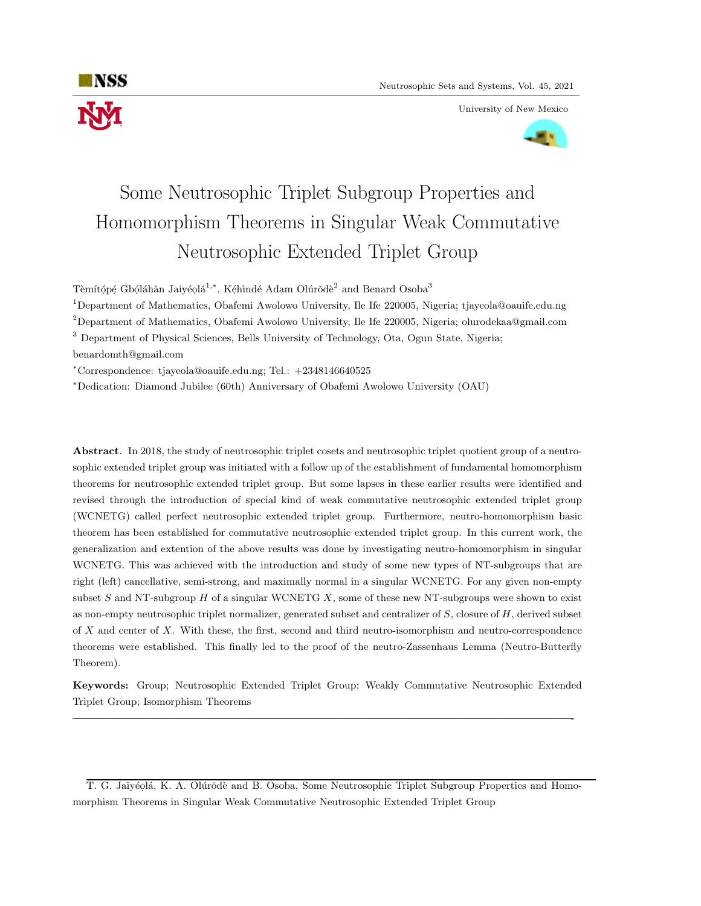

University of New Mexico



# Some Neutrosophic Triplet Subgroup Properties and Homomorphism Theorems in Singular Weak Commutative Neutrosophic Extended Triplet Group

Tèmítópé Gbóláhàn Jaiyéolá $^{1,\ast},$ Kéhìndé Adam Olúrŏdè $^{2}$ and Benard Osoba $^{3}$ 

<sup>1</sup>Department of Mathematics, Obafemi Awolowo University, Ile Ife 220005, Nigeria; tjayeola@oauife.edu.ng

<sup>3</sup> Department of Physical Sciences, Bells University of Technology, Ota, Ogun State, Nigeria;

benardomth@gmail.com

<sup>∗</sup>Correspondence: tjayeola@oauife.edu.ng; Tel.: +2348146640525

<sup>∗</sup>Dedication: Diamond Jubilee (60th) Anniversary of Obafemi Awolowo University (OAU)

Abstract. In 2018, the study of neutrosophic triplet cosets and neutrosophic triplet quotient group of a neutrosophic extended triplet group was initiated with a follow up of the establishment of fundamental homomorphism theorems for neutrosophic extended triplet group. But some lapses in these earlier results were identified and revised through the introduction of special kind of weak commutative neutrosophic extended triplet group (WCNETG) called perfect neutrosophic extended triplet group. Furthermore, neutro-homomorphism basic theorem has been established for commutative neutrosophic extended triplet group. In this current work, the generalization and extention of the above results was done by investigating neutro-homomorphism in singular WCNETG. This was achieved with the introduction and study of some new types of NT-subgroups that are right (left) cancellative, semi-strong, and maximally normal in a singular WCNETG. For any given non-empty subset  $S$  and NT-subgroup  $H$  of a singular WCNETG  $X$ , some of these new NT-subgroups were shown to exist as non-empty neutrosophic triplet normalizer, generated subset and centralizer of  $S$ , closure of  $H$ , derived subset of X and center of X. With these, the first, second and third neutro-isomorphism and neutro-correspondence theorems were established. This finally led to the proof of the neutro-Zassenhaus Lemma (Neutro-Butterfly Theorem).

Keywords: Group; Neutrosophic Extended Triplet Group; Weakly Commutative Neutrosophic Extended Triplet Group; Isomorphism Theorems

—————————————————————————————————————————-

T. G. Jaiyéolá, K. A. Olúrŏdè and B. Osoba, Some Neutrosophic Triplet Subgroup Properties and Homomorphism Theorems in Singular Weak Commutative Neutrosophic Extended Triplet Group

<sup>&</sup>lt;sup>2</sup>Department of Mathematics, Obafemi Awolowo University, Ile Ife 220005, Nigeria; olurodekaa@gmail.com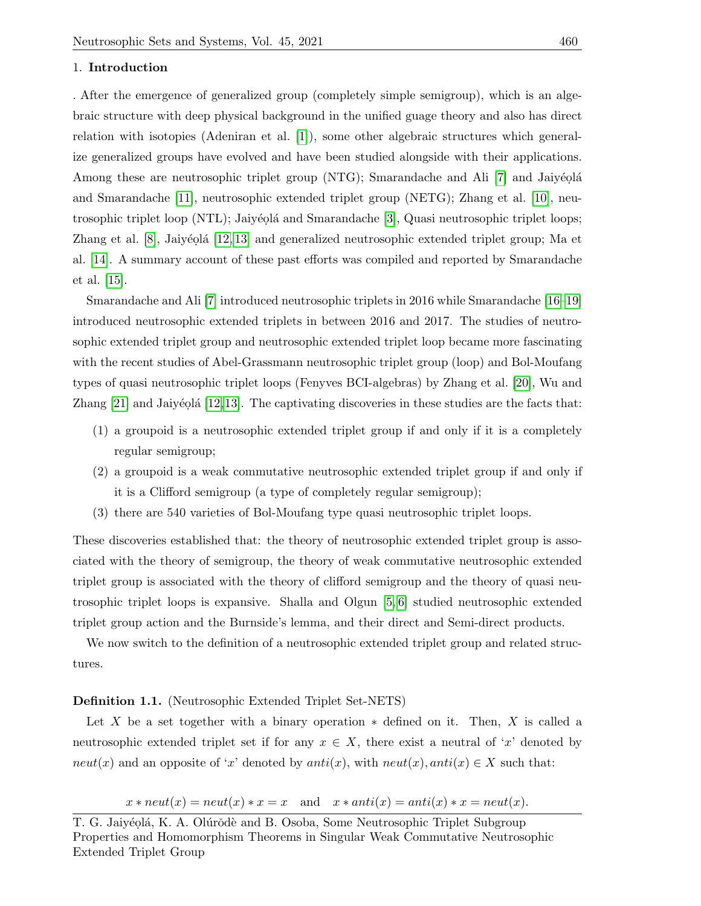. After the emergence of generalized group (completely simple semigroup), which is an algebraic structure with deep physical background in the unified guage theory and also has direct relation with isotopies (Adeniran et al. [\[1\]](#page-27-0)), some other algebraic structures which generalize generalized groups have evolved and have been studied alongside with their applications. Among these are neutrosophic triplet group (NTG); Smarandache and Ali [\[7\]](#page-27-1) and Jaiyéolá and Smarandache [\[11\]](#page-27-2), neutrosophic extended triplet group (NETG); Zhang et al. [\[10\]](#page-27-3), neu-trosophic triplet loop (NTL); Jaiyéolá and Smarandache [\[3\]](#page-27-4), Quasi neutrosophic triplet loops; Zhang et al. [\[8\]](#page-27-5), Jaiyéolá [\[12,](#page-27-6)13] and generalized neutrosophic extended triplet group; Ma et al. [\[14\]](#page-27-8). A summary account of these past efforts was compiled and reported by Smarandache et al. [\[15\]](#page-27-9).

Smarandache and Ali [\[7\]](#page-27-1) introduced neutrosophic triplets in 2016 while Smarandache [\[16–](#page-27-10)[19\]](#page-27-11) introduced neutrosophic extended triplets in between 2016 and 2017. The studies of neutrosophic extended triplet group and neutrosophic extended triplet loop became more fascinating with the recent studies of Abel-Grassmann neutrosophic triplet group (loop) and Bol-Moufang types of quasi neutrosophic triplet loops (Fenyves BCI-algebras) by Zhang et al. [\[20\]](#page-28-0), Wu and Zhang  $[21]$  and Jaiyéolá  $[12,13]$  $[12,13]$ . The captivating discoveries in these studies are the facts that:

- (1) a groupoid is a neutrosophic extended triplet group if and only if it is a completely regular semigroup;
- (2) a groupoid is a weak commutative neutrosophic extended triplet group if and only if it is a Clifford semigroup (a type of completely regular semigroup);
- (3) there are 540 varieties of Bol-Moufang type quasi neutrosophic triplet loops.

These discoveries established that: the theory of neutrosophic extended triplet group is associated with the theory of semigroup, the theory of weak commutative neutrosophic extended triplet group is associated with the theory of clifford semigroup and the theory of quasi neutrosophic triplet loops is expansive. Shalla and Olgun [\[5,](#page-27-12) [6\]](#page-27-13) studied neutrosophic extended triplet group action and the Burnside's lemma, and their direct and Semi-direct products.

We now switch to the definition of a neutrosophic extended triplet group and related structures.

#### Definition 1.1. (Neutrosophic Extended Triplet Set-NETS)

Let X be a set together with a binary operation  $*$  defined on it. Then, X is called a neutrosophic extended triplet set if for any  $x \in X$ , there exist a neutral of 'x' denoted by neut(x) and an opposite of 'x' denoted by  $anti(x)$ , with  $neut(x)$ ,  $anti(x) \in X$  such that:

 $x * \textit{neut}(x) = \textit{neut}(x) * x = x$  and  $x * \textit{anti}(x) = \textit{anti}(x) * x = \textit{neut}(x)$ .

T. G. Jaiyéolá, K. A. Olúrŏdè and B. Osoba, Some Neutrosophic Triplet Subgroup Properties and Homomorphism Theorems in Singular Weak Commutative Neutrosophic Extended Triplet Group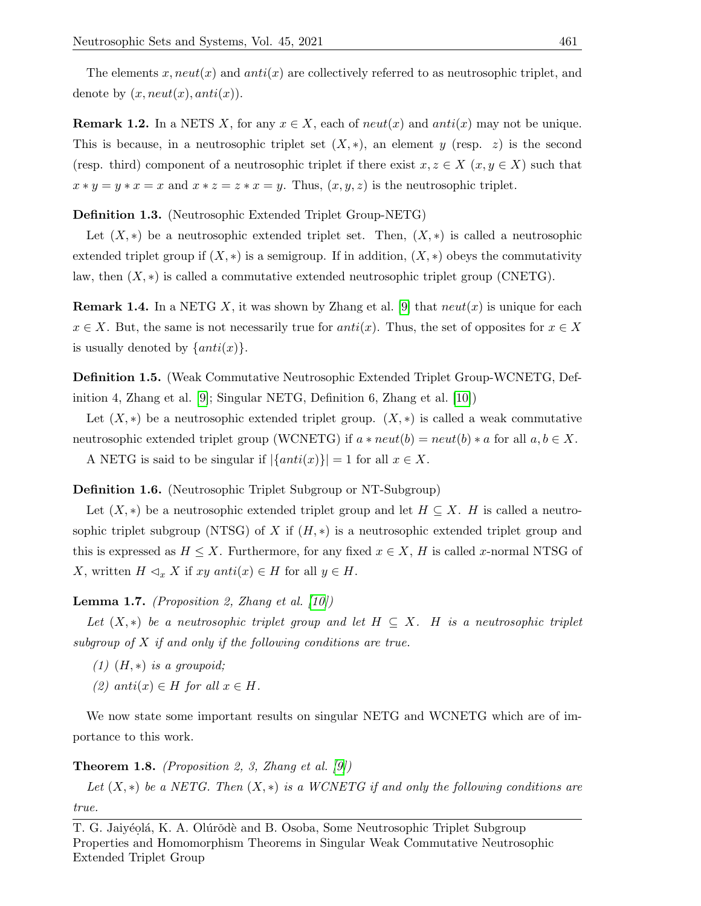The elements  $x, new(x)$  and  $anti(x)$  are collectively referred to as neutrosophic triplet, and denote by  $(x, neut(x), anti(x)).$ 

**Remark 1.2.** In a NETS X, for any  $x \in X$ , each of neut(x) and anti(x) may not be unique. This is because, in a neutrosophic triplet set  $(X, *)$ , an element y (resp. z) is the second (resp. third) component of a neutrosophic triplet if there exist  $x, z \in X$  ( $x, y \in X$ ) such that  $x * y = y * x = x$  and  $x * z = z * x = y$ . Thus,  $(x, y, z)$  is the neutrosophic triplet.

Definition 1.3. (Neutrosophic Extended Triplet Group-NETG)

Let  $(X, *)$  be a neutrosophic extended triplet set. Then,  $(X, *)$  is called a neutrosophic extended triplet group if  $(X, *)$  is a semigroup. If in addition,  $(X, *)$  obeys the commutativity law, then  $(X, *)$  is called a commutative extended neutrosophic triplet group (CNETG).

**Remark 1.4.** In a NETG X, it was shown by Zhang et al. [\[9\]](#page-27-14) that  $neut(x)$  is unique for each  $x \in X$ . But, the same is not necessarily true for anti(x). Thus, the set of opposites for  $x \in X$ is usually denoted by  $\{anti(x)\}.$ 

Definition 1.5. (Weak Commutative Neutrosophic Extended Triplet Group-WCNETG, Definition 4, Zhang et al. [\[9\]](#page-27-14); Singular NETG, Definition 6, Zhang et al. [\[10\]](#page-27-3))

Let  $(X, *)$  be a neutrosophic extended triplet group.  $(X, *)$  is called a weak commutative neutrosophic extended triplet group (WCNETG) if  $a * new(t) = new(t) * a$  for all  $a, b \in X$ .

A NETG is said to be singular if  $|\{anti(x)\}| = 1$  for all  $x \in X$ .

Definition 1.6. (Neutrosophic Triplet Subgroup or NT-Subgroup)

Let  $(X, *)$  be a neutrosophic extended triplet group and let  $H \subseteq X$ . H is called a neutrosophic triplet subgroup (NTSG) of X if  $(H, *)$  is a neutrosophic extended triplet group and this is expressed as  $H \leq X$ . Furthermore, for any fixed  $x \in X$ , H is called x-normal NTSG of X, written  $H \lhd_x X$  if  $xy \space anti(x) \in H$  for all  $y \in H$ .

<span id="page-2-0"></span>**Lemma 1.7.** (Proposition 2, Zhang et al.  $[10]$ )

Let  $(X, *)$  be a neutrosophic triplet group and let  $H \subseteq X$ . H is a neutrosophic triplet subgroup of  $X$  if and only if the following conditions are true.

(1)  $(H, *)$  is a groupoid;

(2) anti $(x) \in H$  for all  $x \in H$ .

We now state some important results on singular NETG and WCNETG which are of importance to this work.

**Theorem 1.8.** (Proposition 2, 3, Zhang et al.  $[9]$ )

Let  $(X, *)$  be a NETG. Then  $(X, *)$  is a WCNETG if and only the following conditions are true.

T. G. Jaiyéolá, K. A. Olúrŏdè and B. Osoba, Some Neutrosophic Triplet Subgroup Properties and Homomorphism Theorems in Singular Weak Commutative Neutrosophic Extended Triplet Group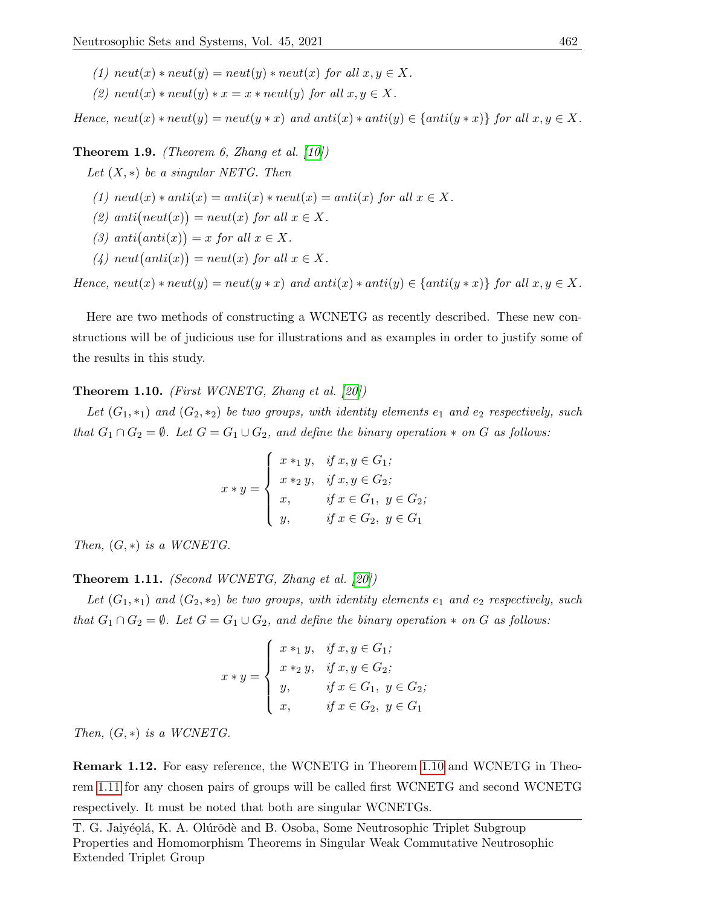- (1)  $neut(x) * neut(y) = neut(y) * neut(x)$  for all  $x, y \in X$ .
- (2)  $neut(x) * neut(y) * x = x * neut(y)$  for all  $x, y \in X$ .

Hence,  $neut(x) * neut(y) = neut(y * x)$  and  $anti(x) * anti(y) \in \{anti(y * x)\}$  for all  $x, y \in X$ .

**Theorem 1.9.** (Theorem 6, Zhang et al.  $[10]$ )

Let  $(X, *)$  be a singular NETG. Then

- (1) neut(x)  $*$  anti(x) = anti(x)  $*$  neut(x) = anti(x) for all  $x \in X$ .
- (2)  $anti(neut(x)) = neut(x)$  for all  $x \in X$ .
- (3)  $anti(anti(x)) = x$  for all  $x \in X$ .
- $(4)$  neut $(anti(x)) = neut(x)$  for all  $x \in X$ .

Hence,  $neut(x) * neut(y) = neut(y * x)$  and  $anti(x) * anti(y) \in \{anti(y * x)\}\$  for all  $x, y \in X$ .

Here are two methods of constructing a WCNETG as recently described. These new constructions will be of judicious use for illustrations and as examples in order to justify some of the results in this study.

#### <span id="page-3-0"></span>**Theorem 1.10.** (First WCNETG, Zhang et al.  $[20]$ )

Let  $(G_1, *_1)$  and  $(G_2, *_2)$  be two groups, with identity elements  $e_1$  and  $e_2$  respectively, such that  $G_1 \cap G_2 = \emptyset$ . Let  $G = G_1 \cup G_2$ , and define the binary operation  $*$  on G as follows:

$$
x * y = \begin{cases} x *_{1} y, & \text{if } x, y \in G_{1}; \\ x *_{2} y, & \text{if } x, y \in G_{2}; \\ x, & \text{if } x \in G_{1}, y \in G_{2}; \\ y, & \text{if } x \in G_{2}, y \in G_{1} \end{cases}
$$

Then,  $(G, *)$  is a WCNETG.

## <span id="page-3-1"></span>Theorem 1.11. (Second WCNETG, Zhang et al. [\[20\]](#page-28-0))

Let  $(G_1, *_1)$  and  $(G_2, *_2)$  be two groups, with identity elements  $e_1$  and  $e_2$  respectively, such that  $G_1 \cap G_2 = \emptyset$ . Let  $G = G_1 \cup G_2$ , and define the binary operation  $*$  on G as follows:

$$
x * y = \begin{cases} x *_{1} y, & \text{if } x, y \in G_{1}; \\ x *_{2} y, & \text{if } x, y \in G_{2}; \\ y, & \text{if } x \in G_{1}, y \in G_{2}; \\ x, & \text{if } x \in G_{2}, y \in G_{1} \end{cases}
$$

Then,  $(G, *)$  is a WCNETG.

Remark 1.12. For easy reference, the WCNETG in Theorem [1.10](#page-3-0) and WCNETG in Theorem [1.11](#page-3-1) for any chosen pairs of groups will be called first WCNETG and second WCNETG respectively. It must be noted that both are singular WCNETGs.

T. G. Jaiyéolá, K. A. Olúrŏdè and B. Osoba, Some Neutrosophic Triplet Subgroup Properties and Homomorphism Theorems in Singular Weak Commutative Neutrosophic Extended Triplet Group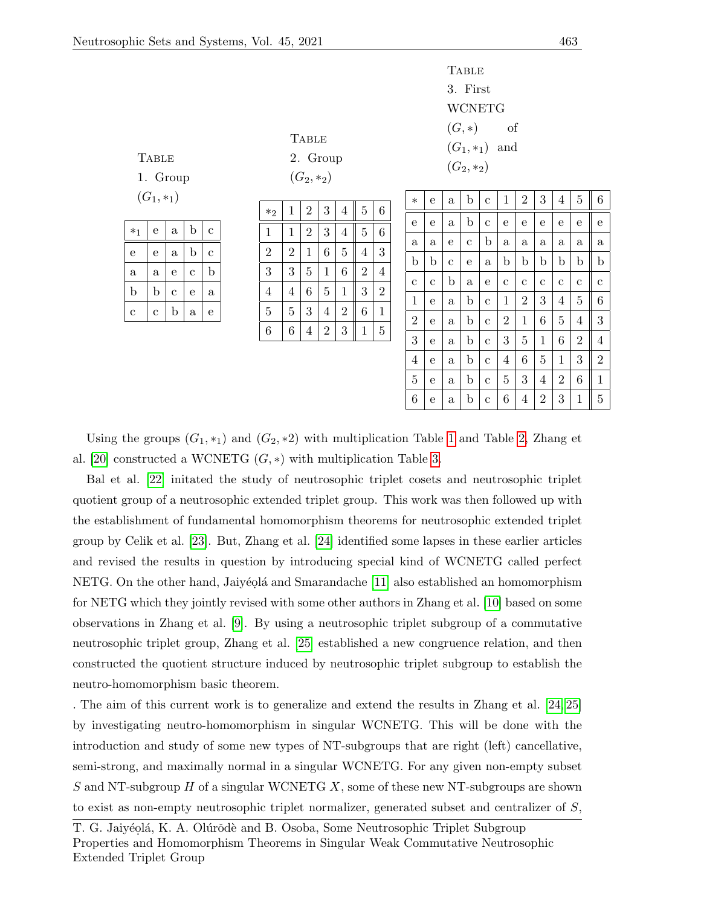<span id="page-4-0"></span>

|                |              |               |              |              |  |                 |                          |                |                |                |                |                |               | <b>TABLE</b>   |              |                                                            |              |               |                |                |                |                |                |                |  |  |  |
|----------------|--------------|---------------|--------------|--------------|--|-----------------|--------------------------|----------------|----------------|----------------|----------------|----------------|---------------|----------------|--------------|------------------------------------------------------------|--------------|---------------|----------------|----------------|----------------|----------------|----------------|----------------|--|--|--|
|                |              |               |              |              |  |                 |                          |                |                |                |                |                |               | 3. First       |              |                                                            |              |               |                |                |                |                |                |                |  |  |  |
|                |              |               |              |              |  |                 |                          |                |                |                |                |                | <b>WCNETG</b> |                |              |                                                            |              |               |                |                |                |                |                |                |  |  |  |
| <b>TABLE</b>   |              |               |              |              |  |                 | <b>TABLE</b><br>2. Group |                |                |                |                |                |               |                |              | $(G,*)$<br><sub>of</sub><br>$(G_1,*_1)$ and<br>$(G_2,*_2)$ |              |               |                |                |                |                |                |                |  |  |  |
| 1. Group       |              |               |              |              |  |                 |                          | $(G_2,*_2)$    |                |                |                |                |               |                |              |                                                            |              |               |                |                |                |                |                |                |  |  |  |
| $(G_1,*_1)$    |              |               |              |              |  | $*_{2}$         | $\mathbf{1}$             | $\overline{2}$ | 3              | $\overline{4}$ | $\overline{5}$ | 6              |               | $\ast$         | $\mathbf{e}$ | a                                                          | $\mathbf b$  | $\mathbf{c}$  | $\mathbf{1}$   | $\overline{2}$ | 3              | $\overline{4}$ | $\overline{5}$ | 6              |  |  |  |
|                |              |               |              |              |  |                 |                          |                |                |                |                |                |               | е              | $\mathbf{e}$ | a                                                          | b            | $\mathcal{C}$ | e              | e              | e              | e              | $\mathbf{e}$   | $\mathbf{e}$   |  |  |  |
| $*_1$          | e            | $\mathbf{a}$  | $\mathbf b$  | $\mathbf{c}$ |  | $\mathbf{1}$    | $\mathbf{1}$             | $\overline{2}$ | 3              | 4              | $\overline{5}$ | 6              |               | a              | a            | e                                                          | $\mathbf{c}$ | b             | $\mathbf{a}$   | a              | a              | a              | a              | a              |  |  |  |
| e              | е            | a             | $\mathbf b$  | $\mathbf{c}$ |  | $\overline{2}$  | $\overline{2}$           | 1              | 6              | 5              | $\overline{4}$ | 3              |               | $\mathbf b$    | b            | $\mathcal{C}$                                              | е            | $\mathbf{a}$  | b              | $\mathbf b$    | $\mathbf b$    | $\mathbf b$    | b              | $\mathbf b$    |  |  |  |
| $\mathbf a$    | a            | e             | $\mathbf{c}$ | $\mathbf b$  |  | 3               | 3                        | 5              | $\mathbf{1}$   | 6              | $\overline{2}$ | 4              |               | $\mathbf{c}$   | $\mathbf{c}$ | $\mathbf b$                                                | a            | e             | $\mathbf{c}$   | $\mathbf{c}$   | $\mathbf{c}$   | $\mathbf{c}$   | $\mathbf{c}$   | $\mathbf{c}$   |  |  |  |
| $\mathbf b$    | b            | $\mathcal{C}$ | $\mathbf{e}$ | $\mathbf{a}$ |  | 4               | $\overline{4}$           | 6              | $\overline{5}$ | $\mathbf{1}$   | 3              | $\overline{2}$ |               | $\mathbf{1}$   |              |                                                            | b            |               | 1              | $\overline{2}$ | 3              | 4              | $\overline{5}$ | 6              |  |  |  |
| $\overline{c}$ | $\mathbf{c}$ | $\mathbf b$   | a            | e            |  | $\overline{5}$  | $\overline{5}$           | 3              | 4              | $\overline{2}$ | 6              | 1              |               |                | $\mathbf{e}$ | a                                                          |              | $\mathcal{C}$ |                |                |                |                |                |                |  |  |  |
|                |              |               |              |              |  | $6\phantom{.}6$ | $\,6\,$                  | $\overline{4}$ | $\overline{2}$ | 3              | $\mathbf{1}$   | $\overline{5}$ |               | $\overline{2}$ | e            | a                                                          | $\mathbf b$  | $\mathbf{c}$  | $\overline{2}$ | $\mathbf{1}$   | 6              | $\overline{5}$ | 4              | 3              |  |  |  |
|                |              |               |              |              |  |                 |                          |                |                |                |                |                |               | 3              | е            | a                                                          | $\mathbf b$  | $\mathcal{C}$ | 3              | $\overline{5}$ | $\mathbf{1}$   | 6              | $\overline{2}$ | $\overline{4}$ |  |  |  |
|                |              |               |              |              |  |                 |                          |                |                |                |                |                |               | 4              | $\mathbf{e}$ | a                                                          | b            | $\mathcal{C}$ | $\overline{4}$ | 6              | $\overline{5}$ | $\mathbf{1}$   | 3              | $\overline{2}$ |  |  |  |
|                |              |               |              |              |  |                 |                          |                |                |                |                |                |               | 5              | е            | a                                                          | $\mathbf b$  | $\mathcal{C}$ | $\overline{5}$ | 3              | 4              | $\overline{2}$ | 6              | 1              |  |  |  |
|                |              |               |              |              |  |                 |                          |                |                |                |                |                |               | 6              | e            | a                                                          | $\mathbf b$  | $\mathbf c$   | $\,6\,$        | $\overline{4}$ | $\overline{2}$ | 3              | 1              | $\bf 5$        |  |  |  |

Using the groups  $(G_1, *_1)$  and  $(G_2, *2)$  with multiplication Table [1](#page-4-0) and Table [2,](#page-4-0) Zhang et al. [\[20\]](#page-28-0) constructed a WCNETG  $(G, *)$  with multiplication Table [3.](#page-4-0)

Bal et al. [\[22\]](#page-28-2) initated the study of neutrosophic triplet cosets and neutrosophic triplet quotient group of a neutrosophic extended triplet group. This work was then followed up with the establishment of fundamental homomorphism theorems for neutrosophic extended triplet group by Celik et al. [\[23\]](#page-28-3). But, Zhang et al. [\[24\]](#page-28-4) identified some lapses in these earlier articles and revised the results in question by introducing special kind of WCNETG called perfect NETG. On the other hand, Jaiyéolá and Smarandache [\[11\]](#page-27-2) also established an homomorphism for NETG which they jointly revised with some other authors in Zhang et al. [\[10\]](#page-27-3) based on some observations in Zhang et al. [\[9\]](#page-27-14). By using a neutrosophic triplet subgroup of a commutative neutrosophic triplet group, Zhang et al. [\[25\]](#page-28-5) established a new congruence relation, and then constructed the quotient structure induced by neutrosophic triplet subgroup to establish the neutro-homomorphism basic theorem.

. The aim of this current work is to generalize and extend the results in Zhang et al. [\[24,](#page-28-4) [25\]](#page-28-5) by investigating neutro-homomorphism in singular WCNETG. This will be done with the introduction and study of some new types of NT-subgroups that are right (left) cancellative, semi-strong, and maximally normal in a singular WCNETG. For any given non-empty subset S and NT-subgroup  $H$  of a singular WCNETG  $X$ , some of these new NT-subgroups are shown to exist as non-empty neutrosophic triplet normalizer, generated subset and centralizer of  $S$ ,

T. G. Jaiyéolá, K. A. Olúrŏdè and B. Osoba, Some Neutrosophic Triplet Subgroup Properties and Homomorphism Theorems in Singular Weak Commutative Neutrosophic Extended Triplet Group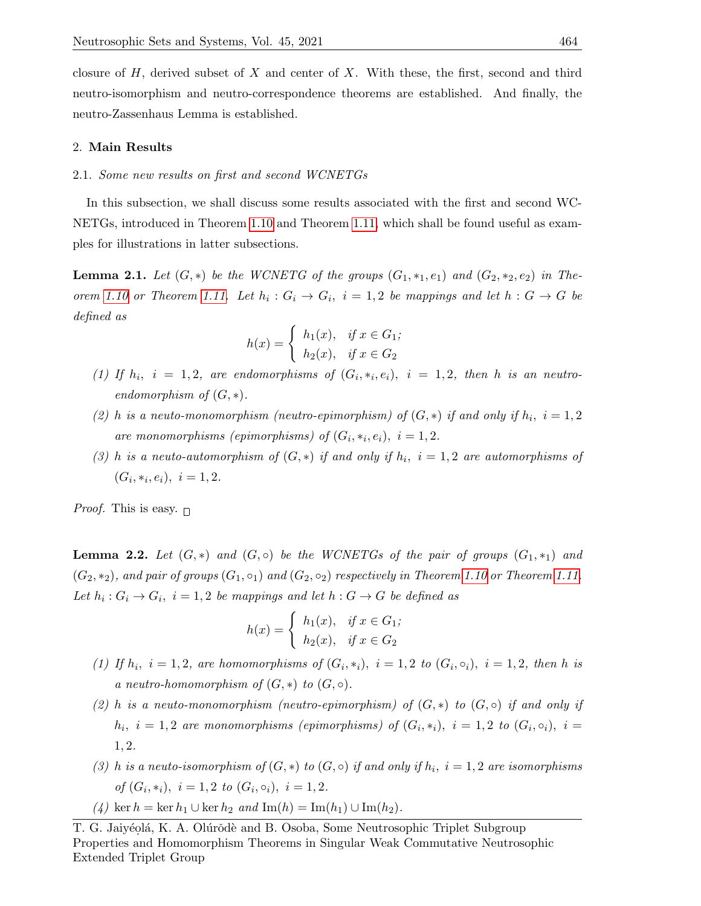closure of  $H$ , derived subset of  $X$  and center of  $X$ . With these, the first, second and third neutro-isomorphism and neutro-correspondence theorems are established. And finally, the neutro-Zassenhaus Lemma is established.

#### 2. Main Results

## 2.1. Some new results on first and second WCNETGs

In this subsection, we shall discuss some results associated with the first and second WC-NETGs, introduced in Theorem [1.10](#page-3-0) and Theorem [1.11,](#page-3-1) which shall be found useful as examples for illustrations in latter subsections.

<span id="page-5-0"></span>**Lemma 2.1.** Let  $(G, *)$  be the WCNETG of the groups  $(G_1, *_1, e_1)$  and  $(G_2, *_2, e_2)$  in The-orem [1.10](#page-3-0) or Theorem [1.11.](#page-3-1) Let  $h_i: G_i \to G_i$ ,  $i = 1,2$  be mappings and let  $h: G \to G$  be defined as

$$
h(x) = \begin{cases} h_1(x), & \text{if } x \in G_1; \\ h_2(x), & \text{if } x \in G_2 \end{cases}
$$

- (1) If  $h_i$ ,  $i = 1, 2$ , are endomorphisms of  $(G_i, \ast_i, e_i)$ ,  $i = 1, 2$ , then h is an neutroendomorphism of  $(G, *)$ .
- (2) h is a neuto-monomorphism (neutro-epimorphism) of  $(G, *)$  if and only if  $h_i$ ,  $i = 1, 2$ are monomorphisms (epimorphisms) of  $(G_i, *, , e_i), i = 1, 2$ .
- (3) h is a neuto-automorphism of  $(G, *)$  if and only if  $h_i$ ,  $i = 1, 2$  are automorphisms of  $(G_i, *_i, e_i), i = 1, 2.$

*Proof.* This is easy.  $\Box$ 

<span id="page-5-1"></span>**Lemma 2.2.** Let  $(G, *)$  and  $(G, \circ)$  be the WCNETGs of the pair of groups  $(G_1, *)$  and  $(G_2, *_2)$ , and pair of groups  $(G_1, \circ_1)$  and  $(G_2, \circ_2)$  respectively in Theorem [1.10](#page-3-0) or Theorem [1.11.](#page-3-1) Let  $h_i: G_i \to G_i$ ,  $i = 1, 2$  be mappings and let  $h: G \to G$  be defined as

$$
h(x) = \begin{cases} h_1(x), & \text{if } x \in G_1; \\ h_2(x), & \text{if } x \in G_2 \end{cases}
$$

- (1) If  $h_i$ ,  $i = 1, 2$ , are homomorphisms of  $(G_i, *_i)$ ,  $i = 1, 2$  to  $(G_i, \circ_i)$ ,  $i = 1, 2$ , then h is a neutro-homomorphism of  $(G, *)$  to  $(G, \circ)$ .
- (2) h is a neuto-monomorphism (neutro-epimorphism) of  $(G, *)$  to  $(G, \circ)$  if and only if  $h_i, i = 1,2$  are monomorphisms (epimorphisms) of  $(G_i, *_i), i = 1,2$  to  $(G_i, \circ_i), i =$ 1, 2.
- (3) h is a neuto-isomorphism of  $(G,*)$  to  $(G, \circ)$  if and only if  $h_i$ ,  $i = 1, 2$  are isomorphisms of  $(G_i, *_i), i = 1, 2 \text{ to } (G_i, \circ_i), i = 1, 2.$
- (4) ker  $h = \ker h_1 \cup \ker h_2$  and  $\text{Im}(h) = \text{Im}(h_1) \cup \text{Im}(h_2)$ .

T. G. Jaiyéolá, K. A. Olúrŏdè and B. Osoba, Some Neutrosophic Triplet Subgroup Properties and Homomorphism Theorems in Singular Weak Commutative Neutrosophic Extended Triplet Group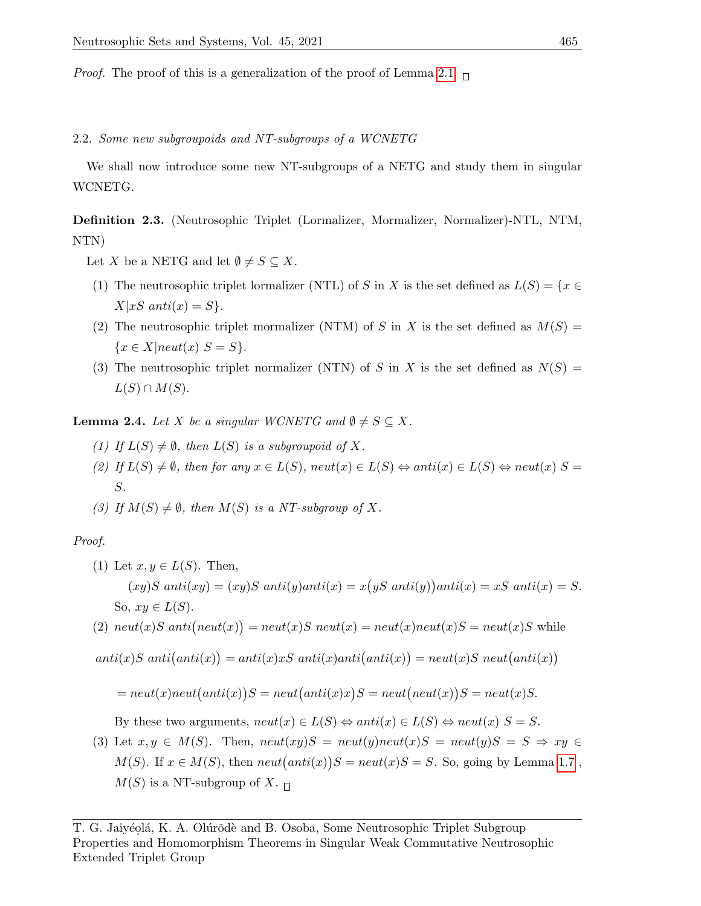*Proof.* The proof of this is a generalization of the proof of Lemma [2.1.](#page-5-0)  $\Box$ 

2.2. Some new subgroupoids and NT-subgroups of a WCNETG

We shall now introduce some new NT-subgroups of a NETG and study them in singular WCNETG.

Definition 2.3. (Neutrosophic Triplet (Lormalizer, Mormalizer, Normalizer)-NTL, NTM, NTN)

Let X be a NETG and let  $\emptyset \neq S \subseteq X$ .

- (1) The neutrosophic triplet lormalizer (NTL) of S in X is the set defined as  $L(S) = \{x \in$  $X|xS \text{ anti}(x) = S$ .
- (2) The neutrosophic triplet mormalizer (NTM) of S in X is the set defined as  $M(S)$  =  $\{x \in X | neut(x) \ S = S\}.$
- (3) The neutrosophic triplet normalizer (NTN) of S in X is the set defined as  $N(S)$  =  $L(S) \cap M(S)$ .

<span id="page-6-0"></span>**Lemma 2.4.** Let X be a singular WCNETG and  $\emptyset \neq S \subseteq X$ .

- (1) If  $L(S) \neq \emptyset$ , then  $L(S)$  is a subgroupoid of X.
- (2) If  $L(S) \neq \emptyset$ , then for any  $x \in L(S)$ , neut $(x) \in L(S) \Leftrightarrow anti(x) \in L(S) \Leftrightarrow neut(x)$   $S =$ S.
- (3) If  $M(S) \neq \emptyset$ , then  $M(S)$  is a NT-subgroup of X.

Proof.

(1) Let 
$$
x, y \in L(S)
$$
. Then,  
\n $(xy)S \text{ anti}(xy) = (xy)S \text{ anti}(y) \text{ anti}(x) = x(yS \text{ anti}(y)) \text{ anti}(x) = xS \text{ anti}(x) = S.$   
\nSo,  $xy \in L(S)$ .

(2)  $neut(x)S$   $anti(new(x)) = neut(x)S$   $neut(x) = neut(x)neut(x)S = neut(x)S$  while

 $anti(x)S$   $anti(anti(x)) = anti(x)xS$   $anti(x)anti(anti(x)) = neut(x)S$   $neut(anti(x))$ 

$$
= \text{neut}(x) \text{neut}(\text{anti}(x))S = \text{neut}(\text{anti}(x)x)S = \text{neut}(\text{neut}(x))S = \text{neut}(x)S.
$$

By these two arguments,  $neut(x) \in L(S) \Leftrightarrow anti(x) \in L(S) \Leftrightarrow neu(x) \in S = S$ .

(3) Let  $x, y \in M(S)$ . Then,  $neut(xy)S = neut(y)neut(x)S = neut(y)S = S \Rightarrow xy \in$  $M(S)$ . If  $x \in M(S)$ , then  $neut(anti(x))S = neut(x)S = S$ . So, going by Lemma [1.7](#page-2-0),  $M(S)$  is a NT-subgroup of X.  $\Box$ 

T. G. Jaiyéolá, K. A. Olúrŏdè and B. Osoba, Some Neutrosophic Triplet Subgroup Properties and Homomorphism Theorems in Singular Weak Commutative Neutrosophic Extended Triplet Group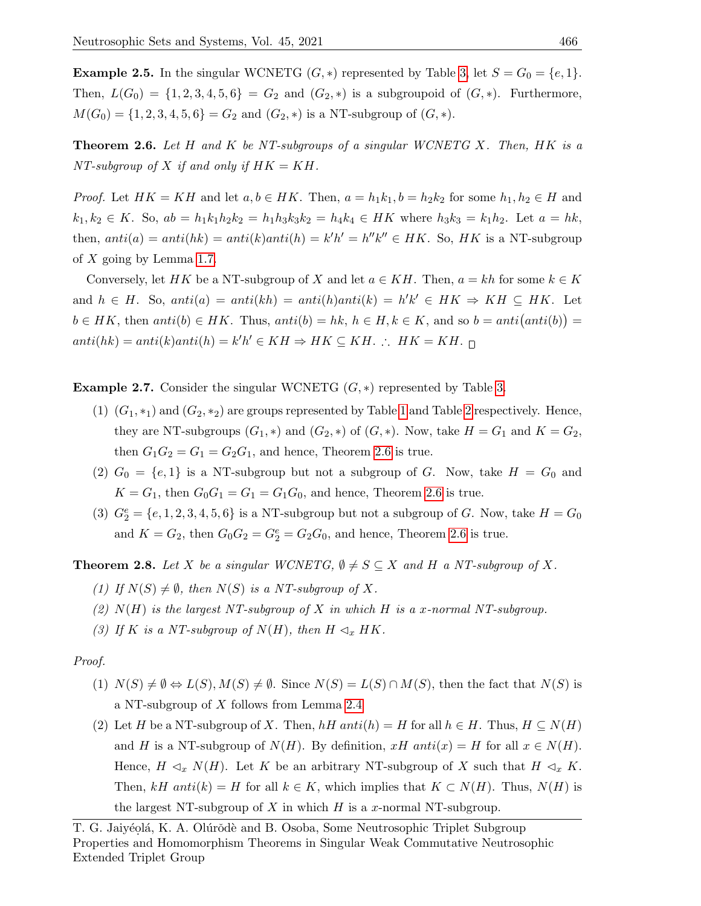<span id="page-7-1"></span>**Example 2.5.** In the singular WCNETG  $(G, *)$  represented by Table [3,](#page-4-0) let  $S = G_0 = \{e, 1\}$ . Then,  $L(G_0) = \{1, 2, 3, 4, 5, 6\} = G_2$  and  $(G_2, *)$  is a subgroupoid of  $(G, *)$ . Furthermore,  $M(G_0) = \{1, 2, 3, 4, 5, 6\} = G_2$  and  $(G_2, *)$  is a NT-subgroup of  $(G, *)$ .

<span id="page-7-0"></span>**Theorem 2.6.** Let H and K be NT-subgroups of a singular WCNETG X. Then, HK is a  $NT-subgroup$  of X if and only if  $HK = KH$ .

*Proof.* Let  $HK = KH$  and let  $a, b \in HK$ . Then,  $a = h_1k_1$ ,  $b = h_2k_2$  for some  $h_1, h_2 \in H$  and  $k_1, k_2 \in K$ . So,  $ab = h_1k_1h_2k_2 = h_1h_3k_3k_2 = h_4k_4 \in HK$  where  $h_3k_3 = k_1h_2$ . Let  $a = hk$ , then,  $anti(a) = anti(hk) = anti(k)anti(h) = k'h' = h''k'' \in HK$ . So, HK is a NT-subgroup of  $X$  going by Lemma [1.7.](#page-2-0)

Conversely, let HK be a NT-subgroup of X and let  $a \in KH$ . Then,  $a = kh$  for some  $k \in K$ and  $h \in H$ . So, anti $(a) = antikh) = antikh)$ anti $(k) = h'k' \in HK \Rightarrow KH \subseteq HK$ . Let  $b \in HK$ , then  $anti(b) \in HK$ . Thus,  $anti(b) = hk$ ,  $h \in H$ ,  $k \in K$ , and so  $b = anti(anti(b))$  $antil(hk) = antil(k)antil(h) = k'h' \in KH \Rightarrow HK \subseteq KH$ . ∴  $HK = KH$ .

**Example 2.7.** Consider the singular WCNETG  $(G, *)$  represented by Table [3.](#page-4-0)

- (1)  $(G_1, *_1)$  and  $(G_2, *_2)$  are groups represented by Table [1](#page-4-0) and Table [2](#page-4-0) respectively. Hence, they are NT-subgroups  $(G_1, *)$  and  $(G_2, *)$  of  $(G, *)$ . Now, take  $H = G_1$  and  $K = G_2$ , then  $G_1G_2 = G_1 = G_2G_1$ , and hence, Theorem [2.6](#page-7-0) is true.
- (2)  $G_0 = \{e, 1\}$  is a NT-subgroup but not a subgroup of G. Now, take  $H = G_0$  and  $K = G_1$ , then  $G_0G_1 = G_1 = G_1G_0$ , and hence, Theorem [2.6](#page-7-0) is true.
- (3)  $G_2^e = \{e, 1, 2, 3, 4, 5, 6\}$  is a NT-subgroup but not a subgroup of G. Now, take  $H = G_0$ and  $K = G_2$ , then  $G_0G_2 = G_2^e = G_2G_0$ , and hence, Theorem [2.6](#page-7-0) is true.

**Theorem 2.8.** Let X be a singular WCNETG,  $\emptyset \neq S \subseteq X$  and H a NT-subgroup of X.

- (1) If  $N(S) \neq \emptyset$ , then  $N(S)$  is a NT-subgroup of X.
- (2)  $N(H)$  is the largest NT-subgroup of X in which H is a x-normal NT-subgroup.
- (3) If K is a NT-subgroup of  $N(H)$ , then  $H \lhd_x HK$ .

Proof.

- (1)  $N(S) \neq \emptyset \Leftrightarrow L(S), M(S) \neq \emptyset$ . Since  $N(S) = L(S) \cap M(S)$ , then the fact that  $N(S)$  is a NT-subgroup of X follows from Lemma [2.4](#page-6-0)
- (2) Let H be a NT-subgroup of X. Then,  $hH$  anti $(h) = H$  for all  $h \in H$ . Thus,  $H \subseteq N(H)$ and H is a NT-subgroup of  $N(H)$ . By definition, xH anti(x) = H for all  $x \in N(H)$ . Hence,  $H \lhd_x N(H)$ . Let K be an arbitrary NT-subgroup of X such that  $H \lhd_x K$ . Then, kH anti(k) = H for all  $k \in K$ , which implies that  $K \subset N(H)$ . Thus,  $N(H)$  is the largest NT-subgroup of X in which  $H$  is a x-normal NT-subgroup.

T. G. Jaiyéolá, K. A. Olúrŏdè and B. Osoba, Some Neutrosophic Triplet Subgroup Properties and Homomorphism Theorems in Singular Weak Commutative Neutrosophic Extended Triplet Group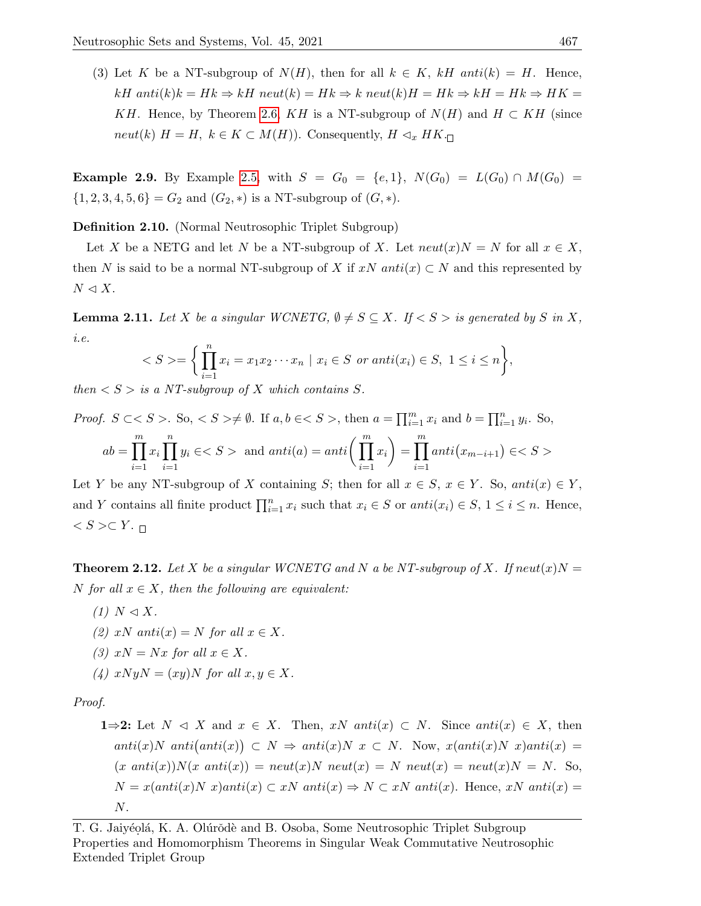(3) Let K be a NT-subgroup of  $N(H)$ , then for all  $k \in K$ , kH anti $(k) = H$ . Hence,  $kH$  anti $(k)k = Hk \Rightarrow kH$  neut $(k) = Hk \Rightarrow k$  neut $(k)H = Hk \Rightarrow kH = Hk \Rightarrow HK =$ KH. Hence, by Theorem [2.6,](#page-7-0) KH is a NT-subgroup of  $N(H)$  and  $H \subset KH$  (since  $neut(k)$   $H = H$ ,  $k \in K \subset M(H)$ ). Consequently,  $H \triangleleft_{x} HK$ .

<span id="page-8-0"></span>Example 2.9. By Example [2.5,](#page-7-1) with  $S = G_0 = \{e, 1\}$ ,  $N(G_0) = L(G_0) \cap M(G_0)$  ${1, 2, 3, 4, 5, 6} = G_2$  and  $(G_2, *)$  is a NT-subgroup of  $(G, *)$ .

Definition 2.10. (Normal Neutrosophic Triplet Subgroup)

Let X be a NETG and let N be a NT-subgroup of X. Let  $neut(x)N = N$  for all  $x \in X$ , then N is said to be a normal NT-subgroup of X if  $xN$  anti $(x) \subset N$  and this represented by  $N \lhd X$ .

**Lemma 2.11.** Let X be a singular WCNETG,  $\emptyset \neq S \subseteq X$ . If  $\lt S > i$  is generated by S in X, i.e.

$$
\langle S \rangle = \Big\{ \prod_{i=1}^n x_i = x_1 x_2 \cdots x_n \mid x_i \in S \text{ or } anti(x_i) \in S, 1 \le i \le n \Big\},\
$$

then  $\langle S \rangle$  is a NT-subgroup of X which contains S.

*Proof.* 
$$
S \subset S >
$$
. So,  $S \to S \neq \emptyset$ . If  $a, b \in S >$ , then  $a = \prod_{i=1}^{m} x_i$  and  $b = \prod_{i=1}^{n} y_i$ . So,  
\n $ab = \prod_{i=1}^{m} x_i \prod_{i=1}^{n} y_i \in S >$  and  $anti(a) = anti\left(\prod_{i=1}^{m} x_i\right) = \prod_{i=1}^{m} anti(x_{m-i+1}) \in S >$ 

Let Y be any NT-subgroup of X containing S; then for all  $x \in S$ ,  $x \in Y$ . So,  $anti(x) \in Y$ , and Y contains all finite product  $\prod_{i=1}^n x_i$  such that  $x_i \in S$  or  $anti(x_i) \in S, 1 \le i \le n$ . Hence,  $\langle S \rangle \subset Y$ .

<span id="page-8-1"></span>**Theorem 2.12.** Let X be a singular WCNETG and N a be NT-subgroup of X. If neut(x)N = N for all  $x \in X$ , then the following are equivalent:

- $(1)$   $N \triangleleft X$ .
- (2) xN anti(x) = N for all  $x \in X$ .
- (3)  $xN = Nx$  for all  $x \in X$ .
- (4)  $xNyN = (xy)N$  for all  $x, y \in X$ .

Proof.

**1⇒2:** Let  $N \triangleleft X$  and  $x \in X$ . Then,  $xN$  anti $(x) \subset N$ . Since anti $(x) \in X$ , then  $anti(x)N \; anti(anti(x)) \subset N \Rightarrow anti(x)N \; x \subset N$ . Now,  $x(anti(x)N \; x)anti(x) =$  $(x \text{ anti}(x))N(x \text{ anti}(x)) = \text{neut}(x)N \text{ neut}(x) = N \text{ neut}(x) = \text{neut}(x)N = N.$  So,  $N = x(anti(x)N x)anti(x) \subset xN$  anti $(x) \Rightarrow N \subset xN$  anti $(x)$ . Hence, xN anti $(x)$  $N$ .

T. G. Jaiyéolá, K. A. Olúrŏdè and B. Osoba, Some Neutrosophic Triplet Subgroup Properties and Homomorphism Theorems in Singular Weak Commutative Neutrosophic Extended Triplet Group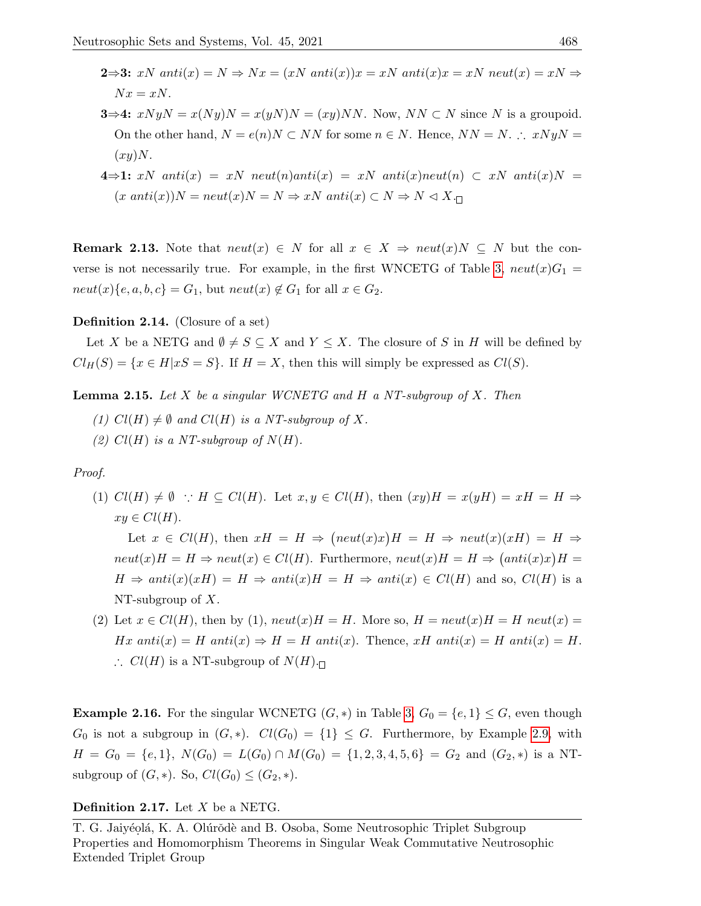- 2⇒3: xN anti(x) = N ⇒ Nx = (xN anti(x))x = xN anti(x)x = xN neut(x) = xN ⇒  $Nx = xN.$
- 3⇒4:  $xNyN = x(Ny)N = x(yN)N = (xy)NN$ . Now,  $NN \subset N$  since N is a groupoid. On the other hand,  $N = e(n)N \subset NN$  for some  $n \in N$ . Hence,  $NN = N$ . ∴  $xNyN =$  $(xy)N.$
- $4 \Rightarrow 1: xN \text{ anti}(x) = xN \text{ neutr}(n) \text{anti}(x) = xN \text{ anti}(x) \text{ neutr}(n) \subset xN \text{ anti}(x)N =$  $(x \text{ anti}(x))N = \text{neut}(x)N = N \Rightarrow xN \text{ anti}(x) \subset N \Rightarrow N \triangleleft X.$

**Remark 2.13.** Note that  $neut(x) \in N$  for all  $x \in X \Rightarrow neut(x)N \subseteq N$  but the con-verse is not necessarily true. For example, in the first WNCETG of Table [3,](#page-4-0)  $neut(x)G_1$  =  $neut(x)\{e, a, b, c\} = G_1$ , but  $neut(x) \notin G_1$  for all  $x \in G_2$ .

## Definition 2.14. (Closure of a set)

Let X be a NETG and  $\emptyset \neq S \subseteq X$  and  $Y \leq X$ . The closure of S in H will be defined by  $Cl_H(S) = \{x \in H | xS = S\}$ . If  $H = X$ , then this will simply be expressed as  $Cl(S)$ .

**Lemma 2.15.** Let  $X$  be a singular WCNETG and  $H$  a NT-subgroup of  $X$ . Then

- (1)  $Cl(H) \neq \emptyset$  and  $Cl(H)$  is a NT-subgroup of X.
- (2)  $Cl(H)$  is a NT-subgroup of  $N(H)$ .

Proof.

(1)  $Cl(H) \neq \emptyset$  ∴  $H \subseteq Cl(H)$ . Let  $x, y \in Cl(H)$ , then  $(xy)H = x(yH) = xH = H \Rightarrow$  $xy \in Cl(H)$ .

Let  $x \in Cl(H)$ , then  $xH = H \Rightarrow (neut(x)x)H = H \Rightarrow neut(x)(xH) = H \Rightarrow$  $neut(x)H = H \Rightarrow neut(x) \in Cl(H)$ . Furthermore,  $neut(x)H = H \Rightarrow (anti(x)x)H =$  $H \Rightarrow$  anti(x)(xH) = H  $\Rightarrow$  anti(x)H = H  $\Rightarrow$  anti(x)  $\in Cl(H)$  and so,  $Cl(H)$  is a NT-subgroup of  $X$ .

(2) Let  $x \in Cl(H)$ , then by (1),  $neut(x)H = H$ . More so,  $H = neut(x)H = H$  neut(x) = Hx anti $(x) = H$  anti $(x) \Rightarrow H = H$  anti $(x)$ . Thence, xH anti $(x) = H$  anti $(x) = H$ . ∴  $Cl(H)$  is a NT-subgroup of  $N(H)$ . $\Box$ 

**Example 2.16.** For the singular WCNETG  $(G, *)$  in Table [3,](#page-4-0)  $G_0 = \{e, 1\} \leq G$ , even though  $G_0$  is not a subgroup in  $(G, *)$ .  $Cl(G_0) = \{1\} \leq G$ . Furthermore, by Example [2.9,](#page-8-0) with  $H = G_0 = \{e, 1\}, N(G_0) = L(G_0) \cap M(G_0) = \{1, 2, 3, 4, 5, 6\} = G_2$  and  $(G_2, *)$  is a NTsubgroup of  $(G, *)$ . So,  $Cl(G_0) \leq (G_2, *)$ .

## **Definition 2.17.** Let  $X$  be a NETG.

T. G. Jaiyéolá, K. A. Olúrŏdè and B. Osoba, Some Neutrosophic Triplet Subgroup Properties and Homomorphism Theorems in Singular Weak Commutative Neutrosophic Extended Triplet Group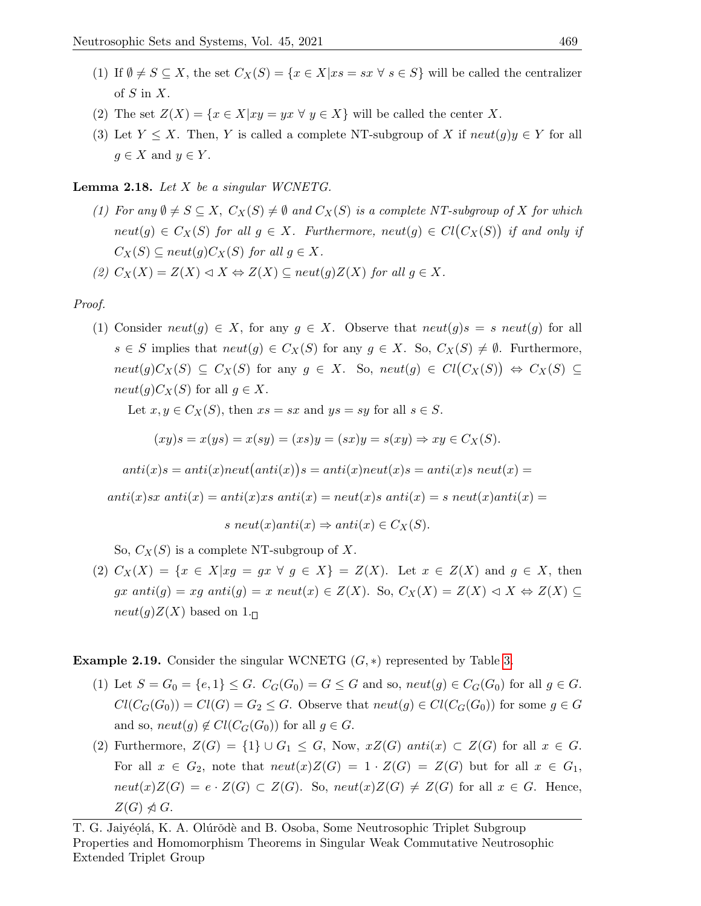- (1) If  $\emptyset \neq S \subseteq X$ , the set  $C_X(S) = \{x \in X | xs = sx \,\forall s \in S\}$  will be called the centralizer of  $S$  in  $X$ .
- (2) The set  $Z(X) = \{x \in X | xy = yx \ \forall \ y \in X\}$  will be called the center X.
- (3) Let  $Y \leq X$ . Then, Y is called a complete NT-subgroup of X if  $neut(g)y \in Y$  for all  $g \in X$  and  $y \in Y$ .

## **Lemma 2.18.** Let  $X$  be a singular WCNETG.

- (1) For any  $\emptyset \neq S \subseteq X$ ,  $C_X(S) \neq \emptyset$  and  $C_X(S)$  is a complete NT-subgroup of X for which  $neut(g) \in C_X(S)$  for all  $g \in X$ . Furthermore,  $neut(g) \in Cl(C_X(S))$  if and only if  $C_X(S) \subseteq neut(g)C_X(S)$  for all  $g \in X$ .
- (2)  $C_X(X) = Z(X) \triangleleft X \Leftrightarrow Z(X) \subseteq \text{neut}(g)Z(X)$  for all  $g \in X$ .

# Proof.

(1) Consider  $neut(g) \in X$ , for any  $g \in X$ . Observe that  $neut(g)s = s$  neut(g) for all  $s \in S$  implies that  $neut(g) \in C_X(S)$  for any  $g \in X$ . So,  $C_X(S) \neq \emptyset$ . Furthermore,  $neut(g)C_X(S) \subseteq C_X(S)$  for any  $g \in X$ . So,  $neut(g) \in Cl(C_X(S)) \Leftrightarrow C_X(S) \subseteq$  $neut(g)C_X(S)$  for all  $g \in X$ .

Let  $x, y \in C_X(S)$ , then  $xs = sx$  and  $ys = sy$  for all  $s \in S$ .

$$
(xy)s = x(ys) = x(sy) = (xs)y = (sx)y = s(xy) \Rightarrow xy \in C_X(S).
$$

$$
anti(x)s = anti(x)neut(anti(x))s = anti(x)neut(x)s = anti(x)s
$$
  $neut(x) =$ 

 $anti(x)sx \; anti(x) = anti(x)xs \; anti(x) = neutr(x)snati(x) = s \; neutr(x)anti(x) = s$ 

s neut(x)anti(x)  $\Rightarrow$  anti(x)  $\in C_X(S)$ .

So,  $C_X(S)$  is a complete NT-subgroup of X.

(2)  $C_X(X) = \{x \in X | xg = gx \ \forall \ g \in X\} = Z(X)$ . Let  $x \in Z(X)$  and  $g \in X$ , then gx anti $(g) = xg$  anti $(g) = x$  neut $(x) \in Z(X)$ . So,  $C_X(X) = Z(X) \triangleleft X \Leftrightarrow Z(X) \subseteq Y$  $neut(g)Z(X)$  based on 1.

**Example 2.19.** Consider the singular WCNETG  $(G, *)$  represented by Table [3.](#page-4-0)

- (1) Let  $S = G_0 = \{e, 1\} \leq G$ .  $C_G(G_0) = G \leq G$  and so, neut $(g) \in C_G(G_0)$  for all  $g \in G$ .  $Cl(C_G(G_0)) = Cl(G) = G_2 \leq G$ . Observe that  $neut(g) \in Cl(C_G(G_0))$  for some  $g \in G$ and so,  $neut(g) \notin Cl(C_G(G_0))$  for all  $g \in G$ .
- (2) Furthermore,  $Z(G) = \{1\} \cup G_1 \leq G$ , Now,  $xZ(G)$  anti $(x) \subset Z(G)$  for all  $x \in G$ . For all  $x \in G_2$ , note that  $neut(x)Z(G) = 1 \cdot Z(G) = Z(G)$  but for all  $x \in G_1$ ,  $neut(x)Z(G) = e \cdot Z(G) \subset Z(G)$ . So,  $neut(x)Z(G) \neq Z(G)$  for all  $x \in G$ . Hence,  $Z(G) \ntriangleleft G$ .

T. G. Jaiyéolá, K. A. Olúrŏdè and B. Osoba, Some Neutrosophic Triplet Subgroup Properties and Homomorphism Theorems in Singular Weak Commutative Neutrosophic Extended Triplet Group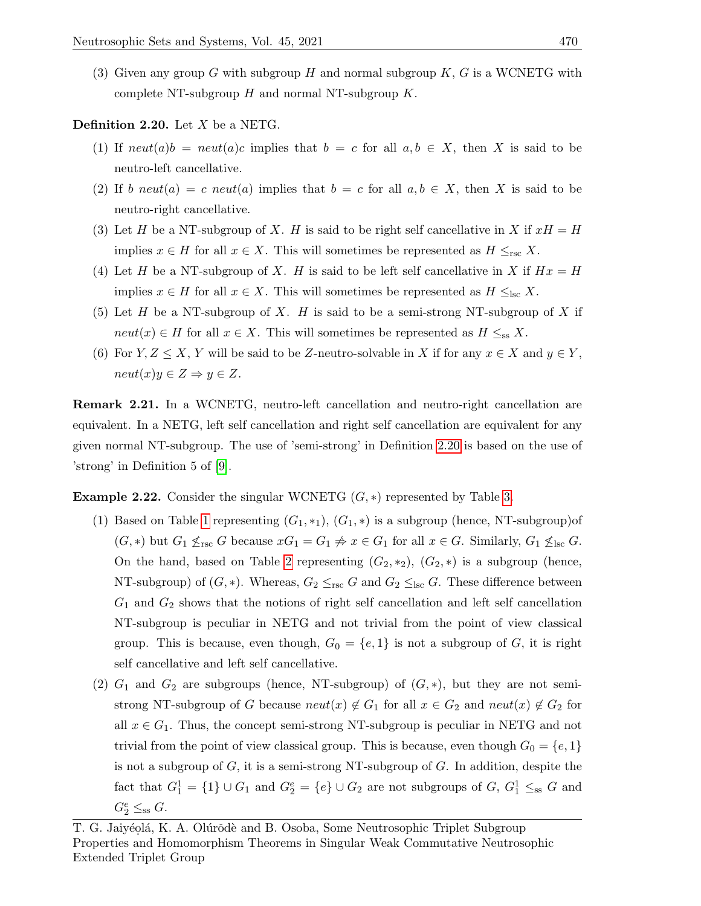(3) Given any group G with subgroup H and normal subgroup  $K, G$  is a WCNETG with complete NT-subgroup  $H$  and normal NT-subgroup  $K$ .

<span id="page-11-0"></span>**Definition 2.20.** Let  $X$  be a NETG.

- (1) If  $neut(a)b = neut(a)c$  implies that  $b = c$  for all  $a, b \in X$ , then X is said to be neutro-left cancellative.
- (2) If b neut(a) = c neut(a) implies that  $b = c$  for all  $a, b \in X$ , then X is said to be neutro-right cancellative.
- (3) Let H be a NT-subgroup of X. H is said to be right self cancellative in X if  $xH = H$ implies  $x \in H$  for all  $x \in X$ . This will sometimes be represented as  $H \leq_{\text{rsc}} X$ .
- (4) Let H be a NT-subgroup of X. H is said to be left self cancellative in X if  $Hx = H$ implies  $x \in H$  for all  $x \in X$ . This will sometimes be represented as  $H \leq_{\text{loc}} X$ .
- (5) Let H be a NT-subgroup of X. H is said to be a semi-strong NT-subgroup of X if  $neut(x) \in H$  for all  $x \in X$ . This will sometimes be represented as  $H \leq_{ss} X$ .
- (6) For  $Y, Z \leq X, Y$  will be said to be Z-neutro-solvable in X if for any  $x \in X$  and  $y \in Y$ ,  $neut(x)y \in Z \Rightarrow y \in Z$ .

Remark 2.21. In a WCNETG, neutro-left cancellation and neutro-right cancellation are equivalent. In a NETG, left self cancellation and right self cancellation are equivalent for any given normal NT-subgroup. The use of 'semi-strong' in Definition [2.20](#page-11-0) is based on the use of 'strong' in Definition 5 of [\[9\]](#page-27-14).

<span id="page-11-1"></span>**Example 2.22.** Consider the singular WCNETG  $(G, *)$  represented by Table [3.](#page-4-0)

- (1) Based on Table [1](#page-4-0) representing  $(G_1, *_1), (G_1, *)$  is a subgroup (hence, NT-subgroup)of  $(G, *)$  but  $G_1 \nleq_{\text{rsc}} G$  because  $xG_1 = G_1 \npreceq x \in G_1$  for all  $x \in G$ . Similarly,  $G_1 \nleq_{\text{lsc}} G$ . On the hand, based on Table [2](#page-4-0) representing  $(G_2, *_2), (G_2, *)$  is a subgroup (hence, NT-subgroup) of  $(G, *)$ . Whereas,  $G_2 \leq_{\text{rsc}} G$  and  $G_2 \leq_{\text{lsc}} G$ . These difference between  $G_1$  and  $G_2$  shows that the notions of right self cancellation and left self cancellation NT-subgroup is peculiar in NETG and not trivial from the point of view classical group. This is because, even though,  $G_0 = \{e, 1\}$  is not a subgroup of G, it is right self cancellative and left self cancellative.
- (2)  $G_1$  and  $G_2$  are subgroups (hence, NT-subgroup) of  $(G, *)$ , but they are not semistrong NT-subgroup of G because  $neut(x) \notin G_1$  for all  $x \in G_2$  and  $neut(x) \notin G_2$  for all  $x \in G_1$ . Thus, the concept semi-strong NT-subgroup is peculiar in NETG and not trivial from the point of view classical group. This is because, even though  $G_0 = \{e, 1\}$ is not a subgroup of  $G$ , it is a semi-strong NT-subgroup of  $G$ . In addition, despite the fact that  $G_1^1 = \{1\} \cup G_1$  and  $G_2^e = \{e\} \cup G_2$  are not subgroups of  $G, G_1^1 \leq_{ss} G$  and  $G_2^e \leq_{\rm ss} G$ .

T. G. Jaiyéolá, K. A. Olúrŏdè and B. Osoba, Some Neutrosophic Triplet Subgroup Properties and Homomorphism Theorems in Singular Weak Commutative Neutrosophic Extended Triplet Group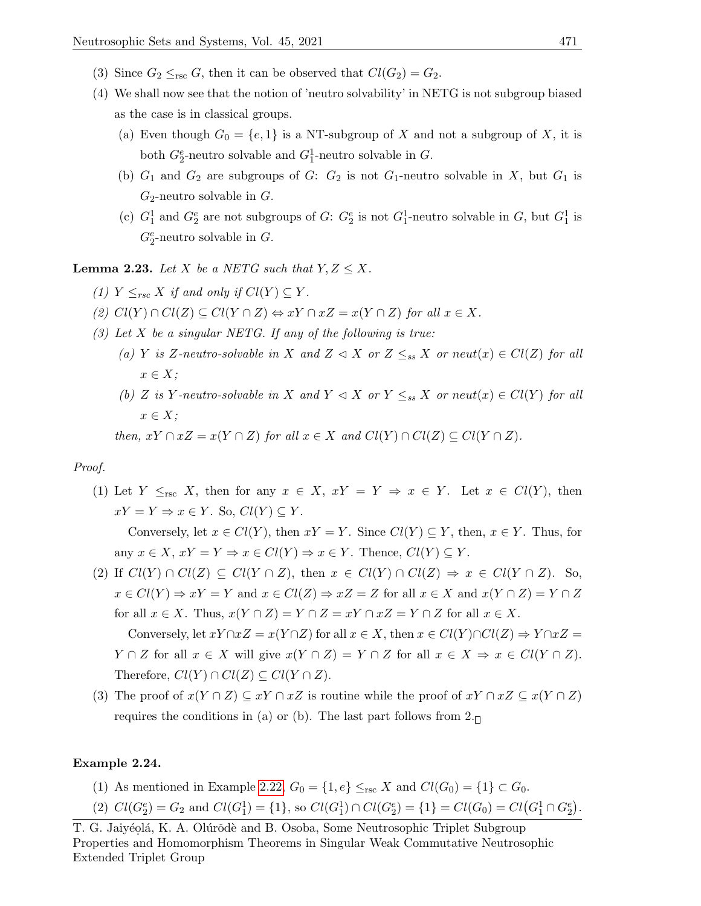- (3) Since  $G_2 \leq_{\text{rsc}} G$ , then it can be observed that  $Cl(G_2) = G_2$ .
- (4) We shall now see that the notion of 'neutro solvability' in NETG is not subgroup biased as the case is in classical groups.
	- (a) Even though  $G_0 = \{e, 1\}$  is a NT-subgroup of X and not a subgroup of X, it is both  $G_2^e$ -neutro solvable and  $G_1^1$ -neutro solvable in G.
	- (b)  $G_1$  and  $G_2$  are subgroups of  $G: G_2$  is not  $G_1$ -neutro solvable in X, but  $G_1$  is  $G_2$ -neutro solvable in  $G$ .
	- (c)  $G_1^1$  and  $G_2^e$  are not subgroups of  $G$ :  $G_2^e$  is not  $G_1^1$ -neutro solvable in  $G$ , but  $G_1^1$  is  $G_2^e$ -neutro solvable in G.

**Lemma 2.23.** Let X be a NETG such that  $Y, Z \leq X$ .

- (1)  $Y \leq_{rsc} X$  if and only if  $Cl(Y) \subseteq Y$ .
- (2)  $Cl(Y) \cap Cl(Z) \subseteq Cl(Y \cap Z) \Leftrightarrow xY \cap xZ = x(Y \cap Z)$  for all  $x \in X$ .
- $(3)$  Let X be a singular NETG. If any of the following is true:
	- (a) Y is Z-neutro-solvable in X and  $Z \triangleleft X$  or  $Z \leq_{ss} X$  or neut $(x) \in Cl(Z)$  for all  $x \in X$ ;
	- (b) Z is Y-neutro-solvable in X and  $Y \triangleleft X$  or  $Y \leq_{ss} X$  or neut $(x) \in Cl(Y)$  for all  $x \in X$ ;

then,  $xY \cap xZ = x(Y \cap Z)$  for all  $x \in X$  and  $Cl(Y) \cap Cl(Z) \subseteq Cl(Y \cap Z)$ .

### Proof.

(1) Let  $Y \leq_{\text{rsc}} X$ , then for any  $x \in X$ ,  $xY = Y \Rightarrow x \in Y$ . Let  $x \in Cl(Y)$ , then  $xY = Y \Rightarrow x \in Y$ . So,  $Cl(Y) \subseteq Y$ .

Conversely, let  $x \in Cl(Y)$ , then  $xY = Y$ . Since  $Cl(Y) \subseteq Y$ , then,  $x \in Y$ . Thus, for any  $x \in X$ ,  $xY = Y \Rightarrow x \in Cl(Y) \Rightarrow x \in Y$ . Thence,  $Cl(Y) \subseteq Y$ .

(2) If  $Cl(Y) \cap Cl(Z) \subseteq Cl(Y \cap Z)$ , then  $x \in Cl(Y) \cap Cl(Z) \Rightarrow x \in Cl(Y \cap Z)$ . So,  $x \in Cl(Y) \Rightarrow xY = Y$  and  $x \in Cl(Z) \Rightarrow xZ = Z$  for all  $x \in X$  and  $x(Y \cap Z) = Y \cap Z$ for all  $x \in X$ . Thus,  $x(Y \cap Z) = Y \cap Z = xY \cap xZ = Y \cap Z$  for all  $x \in X$ .

Conversely, let  $xY \cap xZ = x(Y \cap Z)$  for all  $x \in X$ , then  $x \in Cl(Y) \cap Cl(Z) \Rightarrow Y \cap xZ =$  $Y \cap Z$  for all  $x \in X$  will give  $x(Y \cap Z) = Y \cap Z$  for all  $x \in X \Rightarrow x \in Cl(Y \cap Z)$ . Therefore,  $Cl(Y) \cap Cl(Z) \subseteq Cl(Y \cap Z)$ .

(3) The proof of  $x(Y \cap Z) \subseteq xY \cap xZ$  is routine while the proof of  $xY \cap xZ \subseteq x(Y \cap Z)$ requires the conditions in (a) or (b). The last part follows from  $2 \eta$ 

### Example 2.24.

- (1) As mentioned in Example [2.22,](#page-11-1)  $G_0 = \{1, e\} \leq_{\text{rsc}} X$  and  $Cl(G_0) = \{1\} \subset G_0$ .
- (2)  $Cl(G_2^e) = G_2$  and  $Cl(G_1^1) = \{1\}$ , so  $Cl(G_1^1) \cap Cl(G_2^e) = \{1\} = Cl(G_0) = Cl(G_1^1 \cap G_2^e)$ .

T. G. Jaiyéolá, K. A. Olúrŏdè and B. Osoba, Some Neutrosophic Triplet Subgroup Properties and Homomorphism Theorems in Singular Weak Commutative Neutrosophic Extended Triplet Group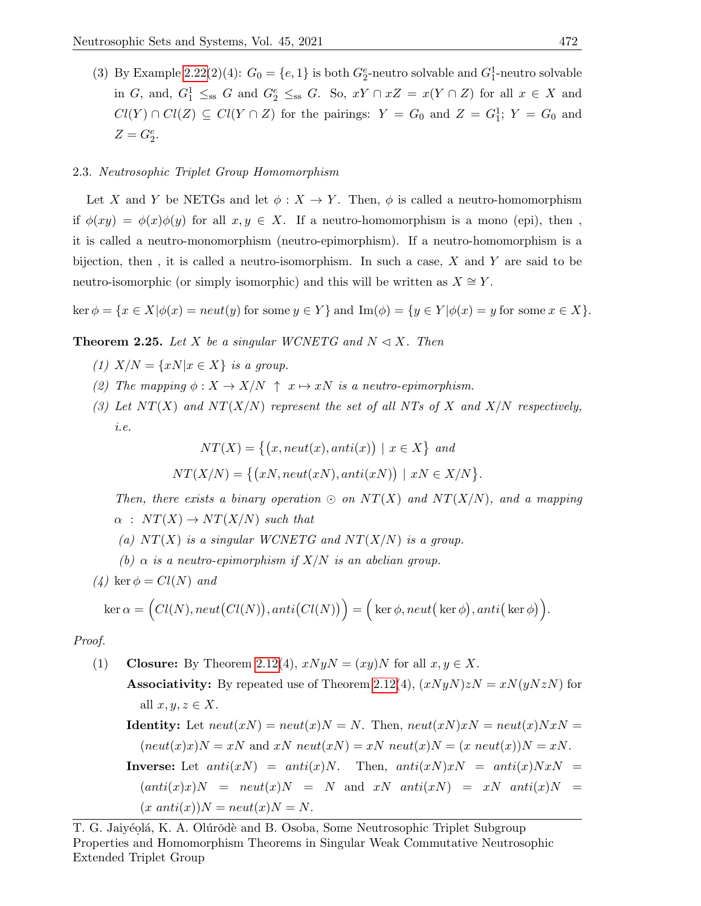(3) By Example [2.22\(](#page-11-1)2)(4):  $G_0 = \{e, 1\}$  is both  $G_2^e$ -neutro solvable and  $G_1^1$ -neutro solvable in G, and,  $G_1^1 \leq_{ss} G$  and  $G_2^e \leq_{ss} G$ . So,  $xY \cap xZ = x(Y \cap Z)$  for all  $x \in X$  and  $Cl(Y) \cap Cl(Z) \subseteq Cl(Y \cap Z)$  for the pairings:  $Y = G_0$  and  $Z = G_1^1$ ;  $Y = G_0$  and  $Z=G_2^e$ .

### 2.3. Neutrosophic Triplet Group Homomorphism

Let X and Y be NETGs and let  $\phi: X \to Y$ . Then,  $\phi$  is called a neutro-homomorphism if  $\phi(xy) = \phi(x)\phi(y)$  for all  $x, y \in X$ . If a neutro-homomorphism is a mono (epi), then, it is called a neutro-monomorphism (neutro-epimorphism). If a neutro-homomorphism is a bijection, then, it is called a neutro-isomorphism. In such a case,  $X$  and  $Y$  are said to be neutro-isomorphic (or simply isomorphic) and this will be written as  $X \cong Y$ .

 $\ker \phi = \{x \in X | \phi(x) = \text{neut}(y) \text{ for some } y \in Y \}$  and  $\text{Im}(\phi) = \{y \in Y | \phi(x) = y \text{ for some } x \in X \}.$ 

<span id="page-13-0"></span>**Theorem 2.25.** Let X be a singular WCNETG and  $N \triangleleft X$ . Then

- (1)  $X/N = \{xN|x \in X\}$  is a group.
- (2) The mapping  $\phi: X \to X/N$   $\uparrow x \mapsto xN$  is a neutro-epimorphism.
- (3) Let  $NT(X)$  and  $NT(X/N)$  represent the set of all NTs of X and  $X/N$  respectively, i.e.

$$
NT(X) = \{(x, neut(x), anti(x)) \mid x \in X\} \text{ and}
$$
  

$$
NT(X/N) = \{(xN, neut(xN), anti(xN)) \mid xN \in X/N\}.
$$

Then, there exists a binary operation  $\odot$  on  $NT(X)$  and  $NT(X/N)$ , and a mapping  $\alpha$ :  $NT(X) \rightarrow NT(X/N)$  such that

- (a)  $NT(X)$  is a singular WCNETG and  $NT(X/N)$  is a group.
- (b)  $\alpha$  is a neutro-epimorphism if  $X/N$  is an abelian group.
- (4) ker  $\phi = Cl(N)$  and

$$
\ker \alpha = \Big(Cl(N),neut\big(Cl(N)\big),anti\big(Cl(N)\big)\Big) = \Big(\ker \phi,neut\big(\ker \phi\big),anti\big(\ker \phi\big)\Big).
$$

Proof.

(1) Closure: By Theorem [2.12\(](#page-8-1)4),  $xNyN = (xy)N$  for all  $x, y \in X$ . **Associativity:** By repeated use of Theorem [2.12\(](#page-8-1)4),  $(xNyN)zN = xN(yNzN)$  for all  $x, y, z \in X$ . **Identity:** Let  $neut(xN) = neut(x)N = N$ . Then,  $neut(xN)xN = neut(x)NxN =$  $(new(x)x)N = xN$  and  $xN$  neut $(xN) = xN$  neut $(x)N = (x \text{ neut}(x))N = xN$ . **Inverse:** Let  $anti(xN) = anti(x)N$ . Then,  $anti(xN)xN = anti(x)NxN =$  $(\text{anti}(x)x)N = \text{neut}(x)N = N \text{ and } xN \text{ anti}(xN) = xN \text{ anti}(x)N =$  $(x \text{ anti}(x))N = \text{neut}(x)N = N.$ 

T. G. Jaiyéolá, K. A. Olúrŏdè and B. Osoba, Some Neutrosophic Triplet Subgroup Properties and Homomorphism Theorems in Singular Weak Commutative Neutrosophic Extended Triplet Group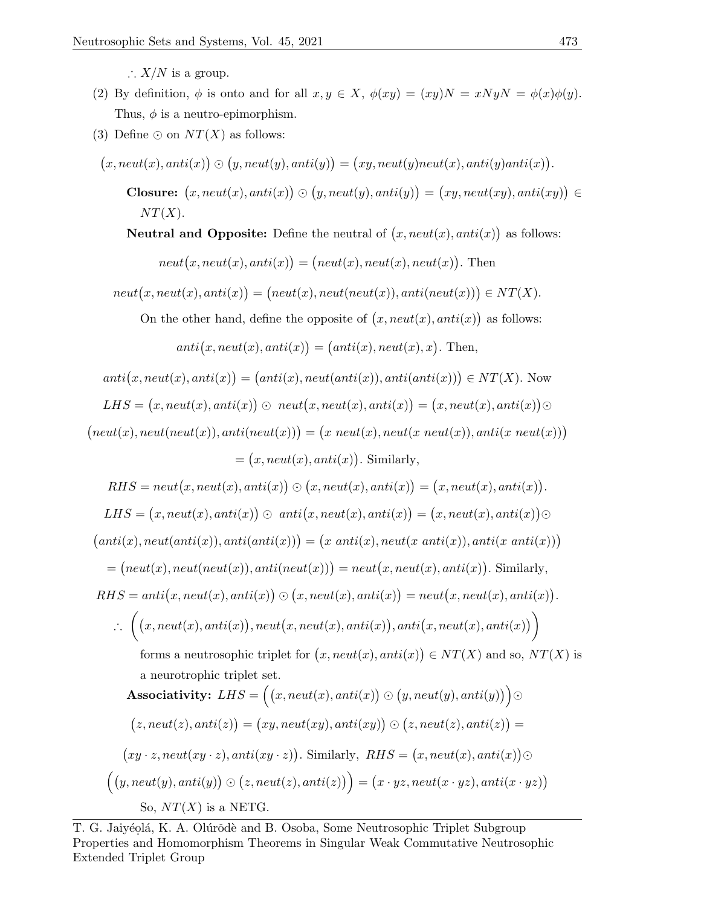- ∴  $X/N$  is a group.
- (2) By definition,  $\phi$  is onto and for all  $x, y \in X$ ,  $\phi(xy) = (xy)N = xNyN = \phi(x)\phi(y)$ . Thus,  $\phi$  is a neutro-epimorphism.
- (3) Define  $\odot$  on  $NT(X)$  as follows:

 $(x, neut(x),anti(x)) \odot (y, neut(y),anti(y)) = (xy, neut(y)neut(x), anti(y)anti(x)).$ 

Closure:  $(x, neut(x),anti(x)) \odot (y, neut(y),anti(y)) = (xy, neut(xy), anti(xy)) \in$  $NT(X)$ .

**Neutral and Opposite:** Define the neutral of  $(x, neut(x), anti(x))$  as follows:

 $neut(x,neut(x),anti(x)) = (neut(x),neut(x),neut(x)).$  Then

 $neut(x, neut(x),anti(x)) = (neut(x), neut(new(x)),anti(new(x))) \in NT(X).$ 

On the other hand, define the opposite of  $(x, neut(x), anti(x))$  as follows:

 $anti(x, neut(x), anti(x)) = (anti(x), neut(x), x)$ . Then,

 $anti(x,neut(x),anti(x)) = (anti(x),neut(anti(x)),anti(anti(x))) \in NT(X)$ . Now

 $LHS = (x, neut(x),anti(x)) \odot neut(x, neut(x),anti(x)) = (x, neut(x),anti(x)) \odot$ 

 $(\textit{neut}(x), \textit{neut}(\textit{neut}(x)), \textit{anti}(\textit{neut}(x))) = (x \textit{neut}(x), \textit{neut}(x \textit{neut}(x)), \textit{anti}(x \textit{neut}(x)))$  $=(x, neut(x), anti(x))$ . Similarly,

RHS = 
$$
neut(x, neut(x), anti(x)) \odot (x, neut(x), anti(x)) = (x, neut(x), anti(x)).
$$
  
\nLHS =  $(x, neut(x), anti(x)) \odot anti(x, neut(x), anti(x)) = (x, neut(x), anti(x)) \odot$   
\n $(anti(x), neut(anti(x)), anti(anti(x))) = (x, anti(x), neut(x, anti(x)), anti(x, anti(x)))$   
\n $= (neut(x), neut(neut(x)), anti(neut(x))) = new(x, neut(x), anti(x)).$  Similarly,  
\nRHS =  $anti(x, neut(x), anti(x)) \odot (x, neut(x), anti(x)) = neut(x, neut(x), anti(x)).$   
\n $\therefore$   $((x, neut(x), anti(x)), neut(x, neut(x), anti(x)), anti(x, neut(x), anti(x)))$   
\nforms a neutrosophic triplet for  $(x, neut(x), anti(x)) \in NT(X)$  and so,  $NT(X)$  is  
\na neurotrophic triplet set.  
\n**Associativity:** LHS =  $((x, neut(x), anti(x)) \odot (y, neut(y), anti(y))) \odot$   
\n $(z, neut(z), anti(z)) = (xy, neut(xy), anti(xy)) \odot (z, neut(z), anti(z)) =$   
\n $(xy \cdot z, neut(xy \cdot z), anti(xy \cdot z)).$  Similarly, RHS =  $(x, neut(x), anti(x)) \odot$   
\n $((y, neut(y), anti(y)) \odot (z, neut(z), anti(x))) \odot$   
\n $((y, neut(y), anti(y)) \odot (z, neut(z), anti(z))) = (x \cdot yz, neut(x \cdot yz), anti(x \cdot yz))$   
\nSo,  $NT(X)$  is a NETG.

T. G. Jaiyéolá, K. A. Olúrŏdè and B. Osoba, Some Neutrosophic Triplet Subgroup Properties and Homomorphism Theorems in Singular Weak Commutative Neutrosophic Extended Triplet Group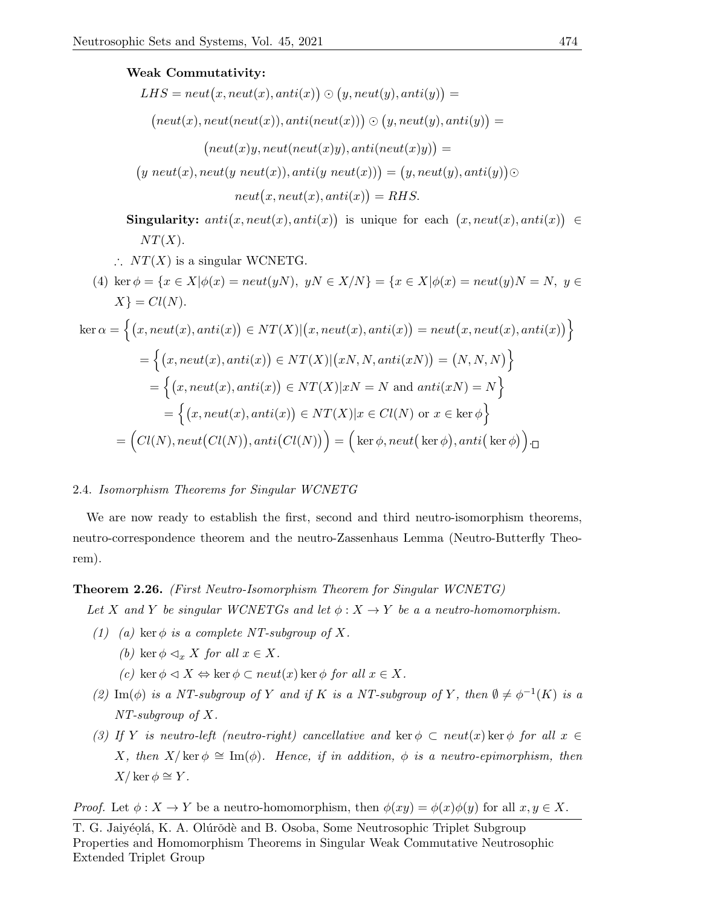Weak Commutativity:

- $LHS = neut(x, neut(x),anti(x)) \odot (y, neut(y),anti(y)) =$ 
	- $\big(neut(x), neut(neut(x)),anti(neut(x))\big) \odot (y, neut(y),anti(y)) =$

 $\big(neut(x)y, neut(neut(x)y),anti(neut(x)y)\big) =$ 

 $(y \; \textit{neut}(x), \textit{neut}(y \; \textit{neut}(x)), \textit{anti}(y \; \textit{neut}(x))) = (y, \textit{neut}(y), \textit{anti}(y)) \odot$ 

 $neut(x, neut(x), anti(x)) = RHS.$ 

Singularity:  $anti(x, neut(x), anti(x))$  is unique for each  $(x, neut(x), anti(x)) \in$  $NT(X)$ .

∴  $NT(X)$  is a singular WCNETG.

(4) ker 
$$
\phi = \{x \in X | \phi(x) = neut(yN), yN \in X/N\} = \{x \in X | \phi(x) = neut(y)N = N, y \in X\} = Cl(N).
$$

$$
\ker \alpha = \left\{ (x, neut(x), anti(x)) \in NT(X) | (x, neut(x), anti(x)) = neut(x, neut(x), anti(x)) \right\}
$$

$$
= \left\{ (x, neut(x), anti(x)) \in NT(X) | (xN, N, anti(xN)) = (N, N, N) \right\}
$$

$$
= \left\{ (x, neut(x), anti(x)) \in NT(X) | xN = N \text{ and } anti(xN) = N \right\}
$$

$$
= \left\{ (x, neut(x), anti(x)) \in NT(X) | x \in Cl(N) \text{ or } x \in \ker \phi \right\}
$$

$$
= \left( Cl(N), neut(Cl(N)), anti(Cl(N)) \right) = \left( \ker \phi, neut(\ker \phi), anti(\ker \phi) \right) \square
$$

#### 2.4. Isomorphism Theorems for Singular WCNETG

We are now ready to establish the first, second and third neutro-isomorphism theorems, neutro-correspondence theorem and the neutro-Zassenhaus Lemma (Neutro-Butterfly Theorem).

#### <span id="page-15-0"></span>Theorem 2.26. (First Neutro-Isomorphism Theorem for Singular WCNETG)

Let X and Y be singular WCNETGs and let  $\phi: X \to Y$  be a a neutro-homomorphism.

- (1) (a) ker  $\phi$  is a complete NT-subgroup of X.
	- (b) ker  $\phi \lhd_x X$  for all  $x \in X$ .
	- (c) ker  $\phi \triangleleft X \Leftrightarrow \ker \phi \subset \text{neut}(x) \ker \phi$  for all  $x \in X$ .
- (2) Im( $\phi$ ) is a NT-subgroup of Y and if K is a NT-subgroup of Y, then  $\emptyset \neq \phi^{-1}(K)$  is a NT-subgroup of X.
- (3) If Y is neutro-left (neutro-right) cancellative and ker  $\phi \subset \text{neut}(x)$  ker  $\phi$  for all  $x \in$ X, then  $X/\text{ker }\phi \cong \text{Im}(\phi)$ . Hence, if in addition,  $\phi$  is a neutro-epimorphism, then  $X/\ker \phi \cong Y$ .

*Proof.* Let  $\phi: X \to Y$  be a neutro-homomorphism, then  $\phi(xy) = \phi(x)\phi(y)$  for all  $x, y \in X$ .

T. G. Jaiyéolá, K. A. Olúrŏdè and B. Osoba, Some Neutrosophic Triplet Subgroup Properties and Homomorphism Theorems in Singular Weak Commutative Neutrosophic Extended Triplet Group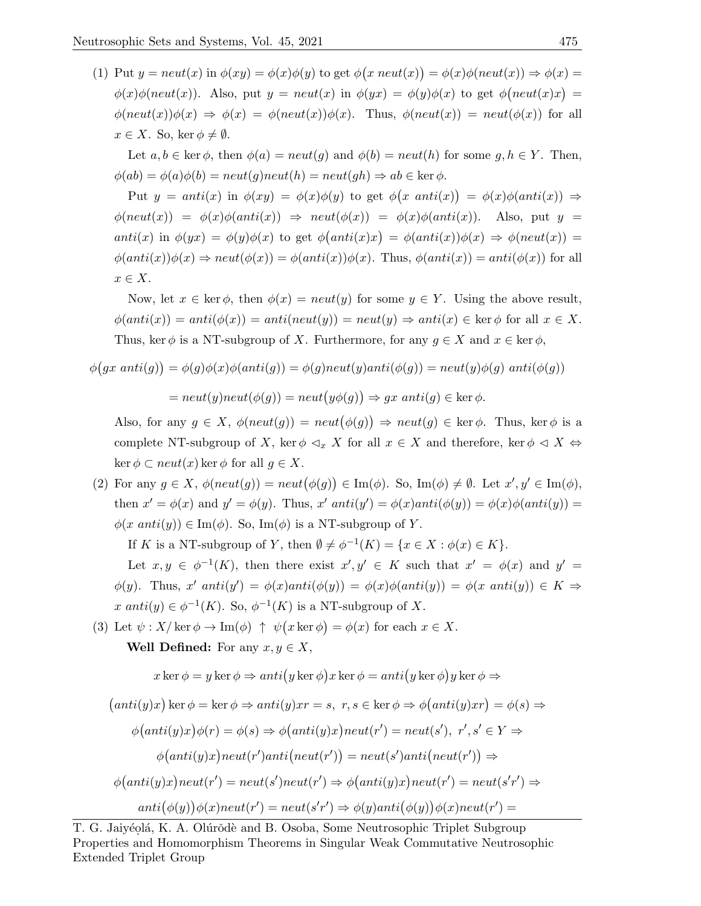(1) Put  $y = neutr(x)$  in  $\phi(xy) = \phi(x)\phi(y)$  to get  $\phi(x \text{ neutr}(x)) = \phi(x)\phi(\text{ neutr}(x)) \Rightarrow \phi(x) =$  $\phi(x)\phi(new(x)).$  Also, put  $y = neut(x)$  in  $\phi(yx) = \phi(y)\phi(x)$  to get  $\phi(new(x)x) =$  $\phi(new(x))\phi(x) \Rightarrow \phi(x) = \phi(new(x))\phi(x)$ . Thus,  $\phi(new(x)) = neut(\phi(x))$  for all  $x \in X$ . So, ker  $\phi \neq \emptyset$ .

Let  $a, b \in \text{ker } \phi$ , then  $\phi(a) = \text{neut}(g)$  and  $\phi(b) = \text{neut}(h)$  for some  $g, h \in Y$ . Then,  $\phi(ab) = \phi(a)\phi(b) = neutr(g)neut(h) = neutr(gh) \Rightarrow ab \in \text{ker }\phi.$ 

Put  $y = anti(x)$  in  $\phi(xy) = \phi(x)\phi(y)$  to get  $\phi(x \text{ anti}(x)) = \phi(x)\phi(\text{anti}(x)) \Rightarrow$  $\phi(neut(x)) = \phi(x)\phi(anti(x)) \Rightarrow neut(\phi(x)) = \phi(x)\phi(anti(x)).$  Also, put  $y =$  $anti(x)$  in  $\phi(yx) = \phi(y)\phi(x)$  to get  $\phi(anti(x)x) = \phi(anti(x))\phi(x) \Rightarrow \phi(neut(x)) =$  $\phi(anti(x))\phi(x) \Rightarrow neut(\phi(x)) = \phi(anti(x))\phi(x)$ . Thus,  $\phi(anti(x)) = anti(\phi(x))$  for all  $x \in X$ .

Now, let  $x \in \text{ker }\phi$ , then  $\phi(x) = \text{neut}(y)$  for some  $y \in Y$ . Using the above result,  $\phi(anti(x)) = anti(\phi(x)) = anti(neut(y)) = neutr(y) \Rightarrow anti(x) \in \text{ker }\phi \text{ for all } x \in X.$ Thus, ker  $\phi$  is a NT-subgroup of X. Furthermore, for any  $g \in X$  and  $x \in \text{ker } \phi$ ,

$$
\phi(gx \text{ anti}(g)) = \phi(g)\phi(x)\phi(\text{anti}(g)) = \phi(g)\text{neut}(y)\text{anti}(\phi(g)) = \text{neut}(y)\phi(g) \text{ anti}(\phi(g))
$$

$$
= \text{neut}(y)\text{neut}(\phi(g)) = \text{neut}(y\phi(g)) \Rightarrow gx \text{ anti}(g) \in \text{ker }\phi.
$$

Also, for any  $g \in X$ ,  $\phi(new(g)) = neut(\phi(g)) \Rightarrow neut(g) \in \text{ker }\phi$ . Thus,  $\text{ker }\phi$  is a complete NT-subgroup of X, ker  $\phi \lhd_x X$  for all  $x \in X$  and therefore, ker  $\phi \lhd X \Leftrightarrow$  $\ker \phi \subset \text{neut}(x) \ker \phi$  for all  $g \in X$ .

(2) For any  $g \in X$ ,  $\phi(new(t(g)) = neut(\phi(g)) \in \text{Im}(\phi)$ . So,  $\text{Im}(\phi) \neq \emptyset$ . Let  $x', y' \in \text{Im}(\phi)$ , then  $x' = \phi(x)$  and  $y' = \phi(y)$ . Thus,  $x'$  anti $(y') = \phi(x)$ anti $(\phi(y)) = \phi(x)\phi(anti(y))$  $\phi(x \text{ anti}(y)) \in \text{Im}(\phi)$ . So,  $\text{Im}(\phi)$  is a NT-subgroup of Y.

If K is a NT-subgroup of Y, then  $\emptyset \neq \phi^{-1}(K) = \{x \in X : \phi(x) \in K\}.$ 

Let  $x, y \in \phi^{-1}(K)$ , then there exist  $x', y' \in K$  such that  $x' = \phi(x)$  and  $y' =$  $\phi(y)$ . Thus, x' anti $(y') = \phi(x)$ anti $(\phi(y)) = \phi(x)\phi(anti(y)) = \phi(x \text{ anti}(y)) \in K \Rightarrow$ x anti $(y) \in \phi^{-1}(K)$ . So,  $\phi^{-1}(K)$  is a NT-subgroup of X.

(3) Let  $\psi: X/\ker \phi \to \text{Im}(\phi) \uparrow \psi(x \ker \phi) = \phi(x)$  for each  $x \in X$ . Well Defined: For any  $x, y \in X$ ,

$$
x \ker \phi = y \ker \phi \Rightarrow anti(y \ker \phi)x \ker \phi = anti(y \ker \phi)y \ker \phi \Rightarrow
$$

$$
(anti(y)x) \ker \phi = \ker \phi \Rightarrow anti(y)xr = s, r, s \in \ker \phi \Rightarrow \phi(anti(y)xr) = \phi(s) \Rightarrow
$$

$$
\phi\bigl(anti(y)x\bigr)\phi(r)=\phi(s)\Rightarrow\phi\bigl(anti(y)x\bigr)neut(r')=neut(s'),\ r',s'\in Y\Rightarrow
$$

$$
\phi(anti(y)x)neut(r')anti(neut(r')) = neut(s')anti(neut(r')) \Rightarrow
$$

$$
\phi\bigl(anti(y)x\bigr)neut(r')=neut(s')neut(r')\Rightarrow \phi\bigl(anti(y)x\bigr)neut(r')=neut(s'r')\Rightarrow
$$

$$
anti(\phi(y))\phi(x)neut(r') = neut(s'r') \Rightarrow \phi(y)anti(\phi(y))\phi(x)neut(r') =
$$

T. G. Jaiyéolá, K. A. Olúrŏdè and B. Osoba, Some Neutrosophic Triplet Subgroup Properties and Homomorphism Theorems in Singular Weak Commutative Neutrosophic Extended Triplet Group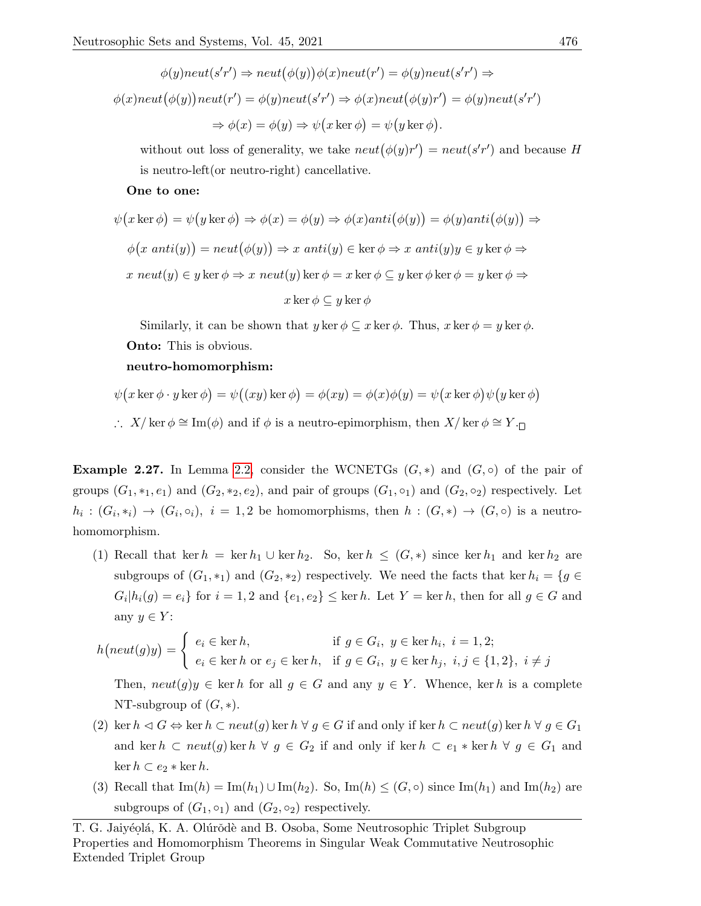$$
\phi(y)neut(s'r') \Rightarrow neut(\phi(y))\phi(x)neut(r') = \phi(y)neut(s'r') \Rightarrow
$$
  

$$
\phi(x)neut(\phi(y))neut(r') = \phi(y)neut(s'r') \Rightarrow \phi(x)neut(\phi(y)r') = \phi(y)neut(s'r')
$$
  

$$
\Rightarrow \phi(x) = \phi(y) \Rightarrow \psi(x \ker \phi) = \psi(y \ker \phi).
$$

without out loss of generality, we take  $neut(\phi(y)r') = neut(s'r')$  and because H is neutro-left(or neutro-right) cancellative.

### One to one:

$$
\psi(x \ker \phi) = \psi(y \ker \phi) \Rightarrow \phi(x) = \phi(y) \Rightarrow \phi(x) \text{anti}(\phi(y)) = \phi(y) \text{anti}(\phi(y)) \Rightarrow
$$
  

$$
\phi(x \text{ anti}(y)) = \text{neut}(\phi(y)) \Rightarrow x \text{ anti}(y) \in \ker \phi \Rightarrow x \text{ anti}(y)y \in y \ker \phi \Rightarrow
$$
  

$$
x \text{ neut}(y) \in y \ker \phi \Rightarrow x \text{ neut}(y) \ker \phi = x \ker \phi \subseteq y \ker \phi \ker \phi = y \ker \phi \Rightarrow
$$
  

$$
x \ker \phi \subseteq y \ker \phi
$$

Similarly, it can be shown that  $y \ker \phi \subseteq x \ker \phi$ . Thus,  $x \ker \phi = y \ker \phi$ . Onto: This is obvious.

neutro-homomorphism:

$$
\psi(x \ker \phi \cdot y \ker \phi) = \psi((xy) \ker \phi) = \phi(xy) = \phi(x)\phi(y) = \psi(x \ker \phi)\psi(y \ker \phi)
$$

∴ X/ ker  $\phi \cong \text{Im}(\phi)$  and if  $\phi$  is a neutro-epimorphism, then X/ ker  $\phi \cong Y$ .

**Example 2.27.** In Lemma [2.2,](#page-5-1) consider the WCNETGs  $(G, *)$  and  $(G, \circ)$  of the pair of groups  $(G_1, *_1, e_1)$  and  $(G_2, *_2, e_2)$ , and pair of groups  $(G_1, \circ_1)$  and  $(G_2, \circ_2)$  respectively. Let  $h_i: (G_i, *_i) \to (G_i, \circ_i), i = 1, 2$  be homomorphisms, then  $h: (G, *) \to (G, \circ)$  is a neutrohomomorphism.

(1) Recall that ker  $h = \ker h_1 \cup \ker h_2$ . So, ker  $h \leq (G, *)$  since ker  $h_1$  and ker  $h_2$  are subgroups of  $(G_1, *_1)$  and  $(G_2, *_2)$  respectively. We need the facts that ker  $h_i = \{g \in$  $G_i|h_i(g) = e_i\}$  for  $i = 1, 2$  and  $\{e_1, e_2\} \leq \ker h$ . Let  $Y = \ker h$ , then for all  $g \in G$  and any  $y \in Y$ :

$$
h\big(neut(g)y\big) = \begin{cases} e_i \in \ker h, & \text{if } g \in G_i, \ y \in \ker h_i, \ i = 1, 2; \\ e_i \in \ker h \text{ or } e_j \in \ker h, & \text{if } g \in G_i, \ y \in \ker h_j, \ i, j \in \{1, 2\}, \ i \neq j \end{cases}
$$

Then,  $neut(g)y \in \text{ker } h$  for all  $g \in G$  and any  $y \in Y$ . Whence, ker h is a complete NT-subgroup of  $(G, *)$ .

- (2) ker  $h \triangleleft G \Leftrightarrow \text{ker } h \subset \text{neut}(g)$  ker  $h \forall g \in G$  if and only if ker  $h \subset \text{neut}(g)$  ker  $h \forall g \in G_1$ and ker  $h \subset \text{neut}(g)$  ker  $h \ \forall \ g \in G_2$  if and only if ker  $h \subset e_1 * \text{ker } h \ \forall \ g \in G_1$  and ker  $h$  ⊂  $e_2$  ∗ ker  $h$ .
- (3) Recall that  $\text{Im}(h) = \text{Im}(h_1) \cup \text{Im}(h_2)$ . So,  $\text{Im}(h) \leq (G, \circ)$  since  $\text{Im}(h_1)$  and  $\text{Im}(h_2)$  are subgroups of  $(G_1, \circ_1)$  and  $(G_2, \circ_2)$  respectively.

T. G. Jaiyéolá, K. A. Olúrŏdè and B. Osoba, Some Neutrosophic Triplet Subgroup Properties and Homomorphism Theorems in Singular Weak Commutative Neutrosophic Extended Triplet Group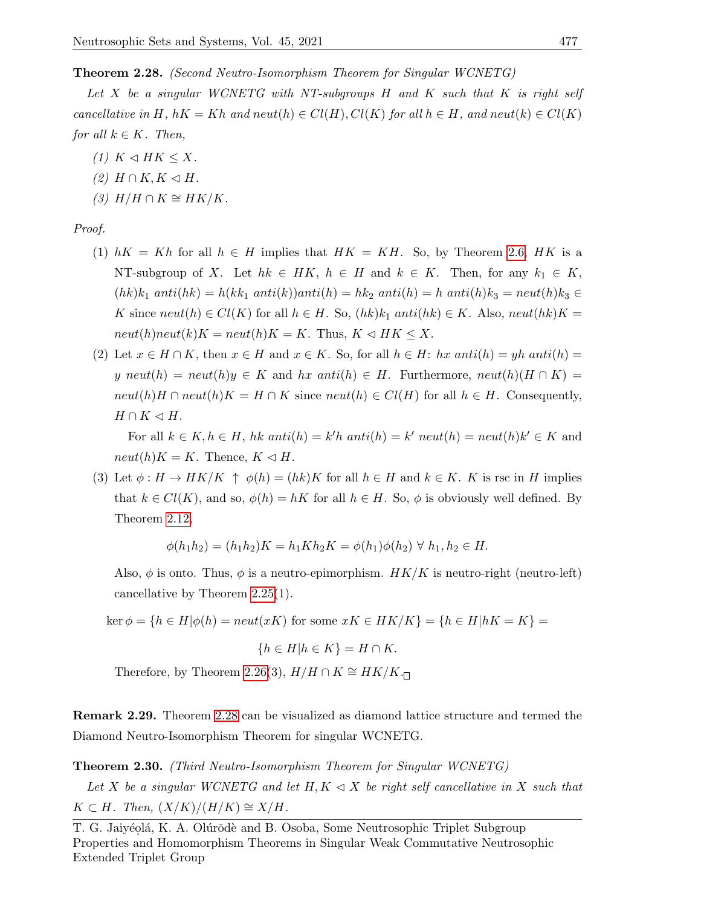<span id="page-18-0"></span>Theorem 2.28. (Second Neutro-Isomorphism Theorem for Singular WCNETG)

Let  $X$  be a singular WCNETG with NT-subgroups  $H$  and  $K$  such that  $K$  is right self cancellative in H, hK = Kh and neut(h)  $\in Cl(H), Cl(K)$  for all  $h \in H$ , and neut(k)  $\in Cl(K)$ for all  $k \in K$ . Then,

- (1)  $K \triangleleft HK \leq X$ .
- $(2)$   $H \cap K$ ,  $K \lhd H$ .
- $(3)$  H/H ∩ K  $\cong$  HK/K.

Proof.

- (1)  $hK = Kh$  for all  $h \in H$  implies that  $HK = KH$ . So, by Theorem [2.6,](#page-7-0) HK is a NT-subgroup of X. Let  $hk \in HK$ ,  $h \in H$  and  $k \in K$ . Then, for any  $k_1 \in K$ ,  $(hk)k_1$  anti $(hk) = h(kk_1 \t{anti}(k))$ anti $(h) = hk_2 \t{anti}(h) = h \t{anti}(h)k_3 = neut(h)k_3 \in$ K since neut(h)  $\in Cl(K)$  for all  $h \in H$ . So,  $(hk)k_1$  anti $(hk) \in K$ . Also, neut(hk)K =  $neut(h)neut(k)K = neut(h)K = K$ . Thus,  $K \triangleleft HK \leq X$ .
- (2) Let  $x \in H \cap K$ , then  $x \in H$  and  $x \in K$ . So, for all  $h \in H$ : hx anti $(h) = yh$  anti $(h) =$ y neut(h) = neut(h)y ∈ K and hx anti(h) ∈ H. Furthermore, neut(h)(H ∩ K) =  $neut(h)H \cap neut(h)K = H \cap K$  since  $neut(h) \in Cl(H)$  for all  $h \in H$ . Consequently,  $H \cap K \lhd H$ .

For all  $k \in K$ ,  $h \in H$ , hk anti $(h) = k'h$  anti $(h) = k'$  neut $(h) = \text{neut}(h)k' \in K$  and  $neut(h)K = K$ . Thence,  $K \triangleleft H$ .

(3) Let  $\phi : H \to HK/K \uparrow \phi(h) = (hk)K$  for all  $h \in H$  and  $k \in K$ . K is rsc in H implies that  $k \in Cl(K)$ , and so,  $\phi(h) = hK$  for all  $h \in H$ . So,  $\phi$  is obviously well defined. By Theorem [2.12,](#page-8-1)

$$
\phi(h_1h_2) = (h_1h_2)K = h_1Kh_2K = \phi(h_1)\phi(h_2) \ \forall \ h_1, h_2 \in H.
$$

Also,  $\phi$  is onto. Thus,  $\phi$  is a neutro-epimorphism. HK/K is neutro-right (neutro-left) cancellative by Theorem [2.25\(](#page-13-0)1).

 $\ker \phi = \{h \in H | \phi(h) = neut(xK) \text{ for some } xK \in HK/K\} = \{h \in H | hK = K\}$ 

$$
\{h \in H | h \in K\} = H \cap K.
$$

Therefore, by Theorem [2.26\(](#page-15-0)3),  $H/H \cap K \cong HK/K$ .

Remark 2.29. Theorem [2.28](#page-18-0) can be visualized as diamond lattice structure and termed the Diamond Neutro-Isomorphism Theorem for singular WCNETG.

<span id="page-18-1"></span>Theorem 2.30. (Third Neutro-Isomorphism Theorem for Singular WCNETG)

Let X be a singular WCNETG and let  $H, K \triangleleft X$  be right self cancellative in X such that  $K \subset H$ . Then,  $(X/K)/(H/K) \cong X/H$ .

T. G. Jaiyéolá, K. A. Olúrŏdè and B. Osoba, Some Neutrosophic Triplet Subgroup Properties and Homomorphism Theorems in Singular Weak Commutative Neutrosophic Extended Triplet Group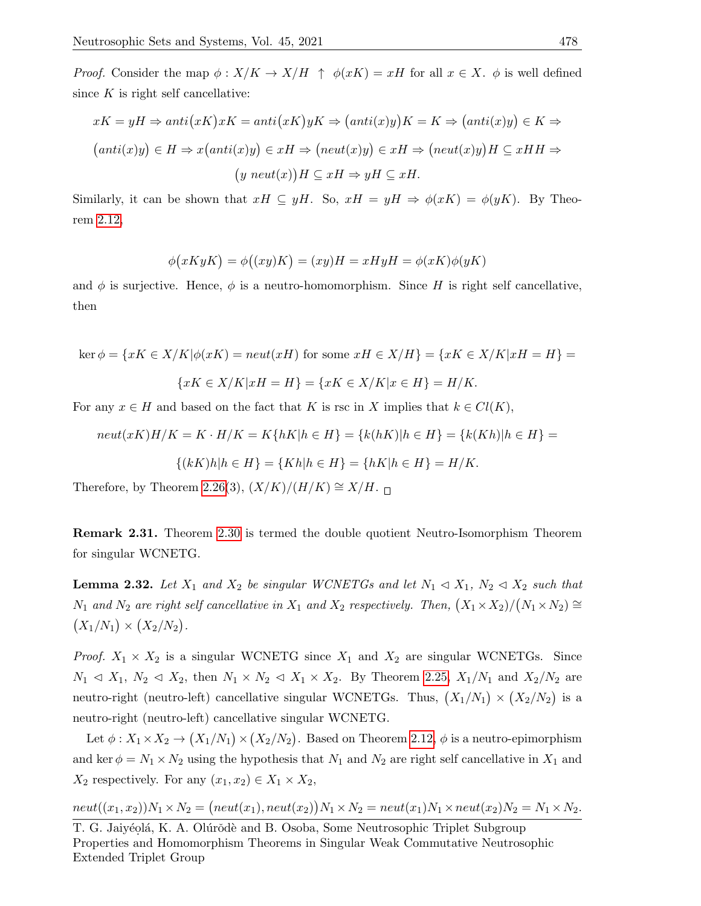*Proof.* Consider the map  $\phi: X/K \to X/H \to \phi(xK) = xH$  for all  $x \in X$ .  $\phi$  is well defined since  $K$  is right self cancellative:

$$
xK = yH \Rightarrow anti(xK)xK = anti(xK)yK \Rightarrow (anti(x)y)K = K \Rightarrow (anti(x)y) \in K \Rightarrow
$$

$$
(anti(x)y) \in H \Rightarrow x(anti(x)y) \in xH \Rightarrow (neut(x)y) \in xH \Rightarrow (neut(x)y)H \subseteq xHH \Rightarrow
$$

$$
(y \neq (x))H \subseteq xH \Rightarrow yH \subseteq xH.
$$

Similarly, it can be shown that  $xH \subseteq yH$ . So,  $xH = yH \Rightarrow \phi(xK) = \phi(yK)$ . By Theorem [2.12,](#page-8-1)

$$
\phi(xKyK) = \phi((xy)K) = (xy)H = xHyH = \phi(xK)\phi(yK)
$$

and  $\phi$  is surjective. Hence,  $\phi$  is a neutro-homomorphism. Since H is right self cancellative, then

$$
\ker \phi = \{xK \in X/K | \phi(xK) = neut(xH) \text{ for some } xH \in X/H\} = \{xK \in X/K | xH = H\} =
$$

$$
\{xK \in X/K | xH = H\} = \{xK \in X/K | x \in H\} = H/K.
$$

For any  $x \in H$  and based on the fact that K is rsc in X implies that  $k \in Cl(K)$ ,

$$
neut(xK)H/K = K \cdot H/K = K\{hK|h \in H\} = \{k(hK)|h \in H\} = \{k(Kh)|h \in H\} = \{(kK)h|h \in H\} = \{Kh|h \in H\} = \{hK|h \in H\} = H/K.
$$

Therefore, by Theorem [2.26\(](#page-15-0)3),  $(X/K)/(H/K) \cong X/H$ .

Remark 2.31. Theorem [2.30](#page-18-1) is termed the double quotient Neutro-Isomorphism Theorem for singular WCNETG.

<span id="page-19-0"></span>**Lemma 2.32.** Let  $X_1$  and  $X_2$  be singular WCNETGs and let  $N_1 \triangleleft X_1$ ,  $N_2 \triangleleft X_2$  such that  $N_1$  and  $N_2$  are right self cancellative in  $X_1$  and  $X_2$  respectively. Then,  $(X_1 \times X_2)/(N_1 \times N_2) \cong$  $(X_1/N_1) \times (X_2/N_2).$ 

*Proof.*  $X_1 \times X_2$  is a singular WCNETG since  $X_1$  and  $X_2$  are singular WCNETGs. Since  $N_1 \triangleleft X_1$ ,  $N_2 \triangleleft X_2$ , then  $N_1 \times N_2 \triangleleft X_1 \times X_2$ . By Theorem [2.25,](#page-13-0)  $X_1/N_1$  and  $X_2/N_2$  are neutro-right (neutro-left) cancellative singular WCNETGs. Thus,  $(X_1/N_1) \times (X_2/N_2)$  is a neutro-right (neutro-left) cancellative singular WCNETG.

Let  $\phi: X_1 \times X_2 \to (X_1/N_1) \times (X_2/N_2)$ . Based on Theorem [2.12,](#page-8-1)  $\phi$  is a neutro-epimorphism and ker  $\phi = N_1 \times N_2$  using the hypothesis that  $N_1$  and  $N_2$  are right self cancellative in  $X_1$  and  $X_2$  respectively. For any  $(x_1, x_2) \in X_1 \times X_2$ ,

$$
neut((x_1,x_2))N_1 \times N_2 = (neut(x_1),neut(x_2))N_1 \times N_2 =neut(x_1)N_1 \times neut(x_2)N_2 = N_1 \times N_2.
$$

T. G. Jaiyéolá, K. A. Olúrŏdè and B. Osoba, Some Neutrosophic Triplet Subgroup Properties and Homomorphism Theorems in Singular Weak Commutative Neutrosophic Extended Triplet Group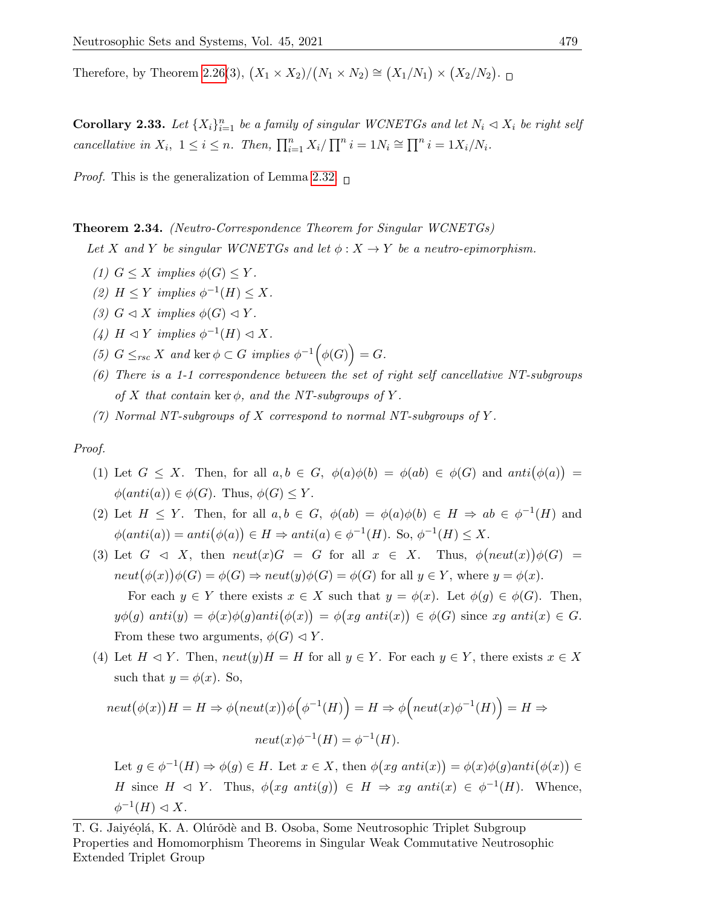Therefore, by Theorem [2.26\(](#page-15-0)3),  $(X_1 \times X_2)/(N_1 \times N_2) \cong (X_1/N_1) \times (X_2/N_2)$ .

**Corollary 2.33.** Let  $\{X_i\}_{i=1}^n$  be a family of singular WCNETGs and let  $N_i \triangleleft X_i$  be right self cancellative in  $X_i$ ,  $1 \leq i \leq n$ . Then,  $\prod_{i=1}^n X_i / \prod_i^n i = 1N_i \cong \prod_i^n i = 1X_i / N_i$ .

*Proof.* This is the generalization of Lemma [2.32.](#page-19-0)  $\Box$ 

<span id="page-20-0"></span>Theorem 2.34. (Neutro-Correspondence Theorem for Singular WCNETGs)

Let X and Y be singular WCNETGs and let  $\phi: X \to Y$  be a neutro-epimorphism.

- (1)  $G \leq X$  implies  $\phi(G) \leq Y$ .
- (2)  $H \leq Y$  implies  $\phi^{-1}(H) \leq X$ .
- (3)  $G \triangleleft X$  implies  $\phi(G) \triangleleft Y$ .
- (4)  $H \lhd Y$  implies  $\phi^{-1}(H) \lhd X$ .
- (5)  $G \leq_{rsc} X$  and ker  $\phi \subset G$  implies  $\phi^{-1}(\phi(G)) = G$ .
- (6) There is a 1-1 correspondence between the set of right self cancellative NT-subgroups of X that contain ker  $\phi$ , and the NT-subgroups of Y.
- $(7)$  Normal NT-subgroups of X correspond to normal NT-subgroups of Y.

### Proof.

- (1) Let  $G \leq X$ . Then, for all  $a, b \in G$ ,  $\phi(a)\phi(b) = \phi(ab) \in \phi(G)$  and  $anti(\phi(a)) =$  $\phi(anti(a)) \in \phi(G)$ . Thus,  $\phi(G) \leq Y$ .
- (2) Let  $H \leq Y$ . Then, for all  $a, b \in G$ ,  $\phi(ab) = \phi(a)\phi(b) \in H \Rightarrow ab \in \phi^{-1}(H)$  and  $\phi(anti(a)) = anti(\phi(a)) \in H \Rightarrow anti(a) \in \phi^{-1}(H)$ . So,  $\phi^{-1}(H) \leq X$ .
- (3) Let  $G \triangleleft X$ , then  $neut(x)G = G$  for all  $x \in X$ . Thus,  $\phi(neut(x))\phi(G) =$  $neut(\phi(x))\phi(G) = \phi(G) \Rightarrow neut(y)\phi(G) = \phi(G)$  for all  $y \in Y$ , where  $y = \phi(x)$ . For each  $y \in Y$  there exists  $x \in X$  such that  $y = \phi(x)$ . Let  $\phi(g) \in \phi(G)$ . Then,  $y\phi(g)$  anti $(y) = \phi(x)\phi(g)$ anti $(\phi(x)) = \phi(xg \text{ anti}(x)) \in \phi(G)$  since  $xg \text{ anti}(x) \in G$ . From these two arguments,  $\phi(G) \lhd Y$ .
- (4) Let  $H \triangleleft Y$ . Then,  $neut(y)H = H$  for all  $y \in Y$ . For each  $y \in Y$ , there exists  $x \in X$ such that  $y = \phi(x)$ . So,

$$
neut(\phi(x))H = H \Rightarrow \phi\big(neut(x)\big)\phi\Big(\phi^{-1}(H)\Big) = H \Rightarrow \phi\Big(neut(x)\phi^{-1}(H)\Big) = H \Rightarrow
$$

$$
neut(x)\phi^{-1}(H) = \phi^{-1}(H).
$$

Let  $g \in \phi^{-1}(H) \Rightarrow \phi(g) \in H$ . Let  $x \in X$ , then  $\phi(xg \text{ anti}(x)) = \phi(x)\phi(g) \text{ anti}(\phi(x)) \in$ H since  $H \triangleleft Y$ . Thus,  $\phi(xg \text{ anti}(g)) \in H \Rightarrow xg \text{ anti}(x) \in \phi^{-1}(H)$ . Whence,  $\phi^{-1}(H) \lhd X.$ 

T. G. Jaiyéolá, K. A. Olúrŏdè and B. Osoba, Some Neutrosophic Triplet Subgroup Properties and Homomorphism Theorems in Singular Weak Commutative Neutrosophic Extended Triplet Group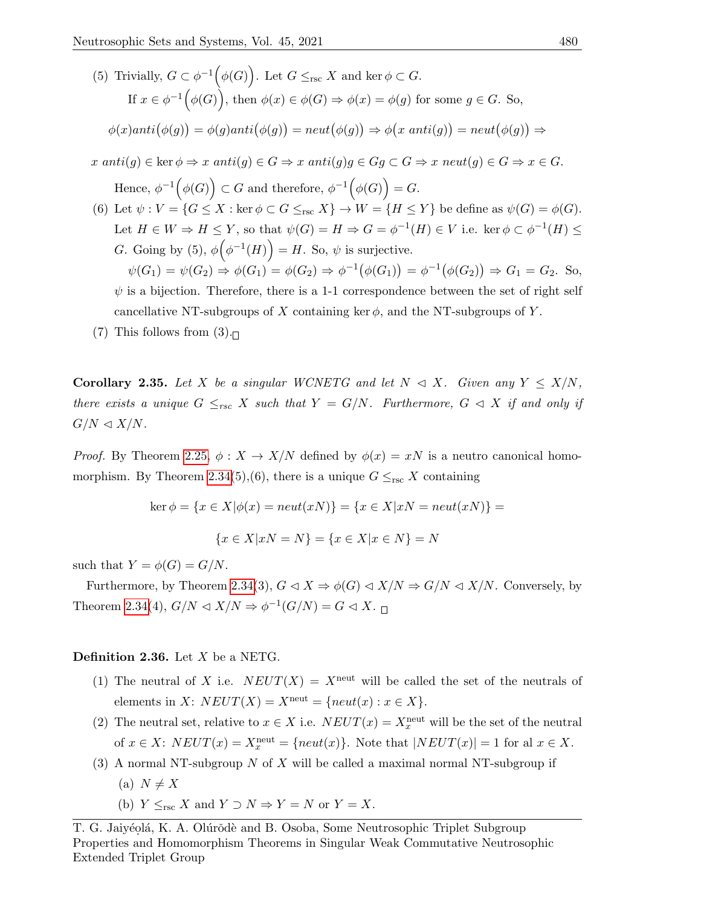- (5) Trivially,  $G \subset \phi^{-1}(\phi(G))$ . Let  $G \leq_{\text{rsc}} X$  and ker  $\phi \subset G$ . If  $x \in \phi^{-1}(\phi(G))$ , then  $\phi(x) \in \phi(G) \Rightarrow \phi(x) = \phi(g)$  for some  $g \in G$ . So,  $\phi(x)$ anti $(\phi(g)) = \phi(g)$ anti $(\phi(g)) = new(\phi(g)) \Rightarrow \phi(x \text{ anti}(g)) = new(\phi(g)) \Rightarrow$  $x \text{ } anti(g) \in \text{ker } \phi \Rightarrow x \text{ } anti(g) \in G \Rightarrow x \text{ } anti(g)g \in Gg \subset G \Rightarrow x \text{ } neutral(g) \in G \Rightarrow x \in G.$ Hence,  $\phi^{-1}(\phi(G)) \subset G$  and therefore,  $\phi^{-1}(\phi(G)) = G$ . (6) Let  $\psi : V = \{ G \leq X : \text{ker } \phi \subset G \leq_{\text{rsc}} X \} \to W = \{ H \leq Y \}$  be define as  $\psi(G) = \phi(G)$ . Let  $H \in W \Rightarrow H \leq Y$ , so that  $\psi(G) = H \Rightarrow G = \phi^{-1}(H) \in V$  i.e. ker  $\phi \subset \phi^{-1}(H) \leq \phi^{-1}(H)$ G. Going by (5),  $\phi(\phi^{-1}(H)) = H$ . So,  $\psi$  is surjective.  $\psi(G_1) = \psi(G_2) \Rightarrow \phi(G_1) = \phi(G_2) \Rightarrow \phi^{-1}(\phi(G_1)) = \phi^{-1}(\phi(G_2)) \Rightarrow G_1 = G_2$ . So,  $\psi$  is a bijection. Therefore, there is a 1-1 correspondence between the set of right self
	- cancellative NT-subgroups of X containing ker  $\phi$ , and the NT-subgroups of Y.
- (7) This follows from  $(3)$ .

<span id="page-21-0"></span>**Corollary 2.35.** Let X be a singular WCNETG and let  $N \triangleleft X$ . Given any  $Y \leq X/N$ , there exists a unique  $G \leq_{rsc} X$  such that  $Y = G/N$ . Furthermore,  $G \triangleleft X$  if and only if  $G/N \lhd X/N$ .

*Proof.* By Theorem [2.25,](#page-13-0)  $\phi: X \to X/N$  defined by  $\phi(x) = xN$  is a neutro canonical homo-morphism. By Theorem [2.34\(](#page-20-0)5),(6), there is a unique  $G \leq_{\text{rsc}} X$  containing

$$
\ker \phi = \{ x \in X | \phi(x) = neut(xN) \} = \{ x \in X | xN = neut(xN) \} =
$$

$$
\{ x \in X | xN = N \} = \{ x \in X | x \in N \} = N
$$

such that  $Y = \phi(G) = G/N$ .

Furthermore, by Theorem [2.34\(](#page-20-0)3),  $G \triangleleft X \Rightarrow \phi(G) \triangleleft X/N \Rightarrow G/N \triangleleft X/N$ . Conversely, by Theorem [2.34\(](#page-20-0)4),  $G/N \triangleleft X/N \Rightarrow \phi^{-1}(G/N) = G \triangleleft X$ .

## **Definition 2.36.** Let  $X$  be a NETG.

- (1) The neutral of X i.e.  $NEUT(X) = X^{neut}$  will be called the set of the neutrals of elements in X:  $NEUT(X) = X^{\text{neut}} = \{neut(x) : x \in X\}.$
- (2) The neutral set, relative to  $x \in X$  i.e.  $NEUT(x) = X_x^{\text{neut}}$  will be the set of the neutral of  $x \in X$ :  $NEUT(x) = X_x^{\text{neut}} = \{neut(x)\}\.$  Note that  $|NEUT(x)| = 1$  for al  $x \in X$ .
- (3) A normal NT-subgroup  $N$  of  $X$  will be called a maximal normal NT-subgroup if (a)  $N \neq X$ 
	- (b)  $Y \leq_{\text{rsc}} X$  and  $Y \supset N \Rightarrow Y = N$  or  $Y = X$ .

T. G. Jaiyéolá, K. A. Olúrŏdè and B. Osoba, Some Neutrosophic Triplet Subgroup Properties and Homomorphism Theorems in Singular Weak Commutative Neutrosophic Extended Triplet Group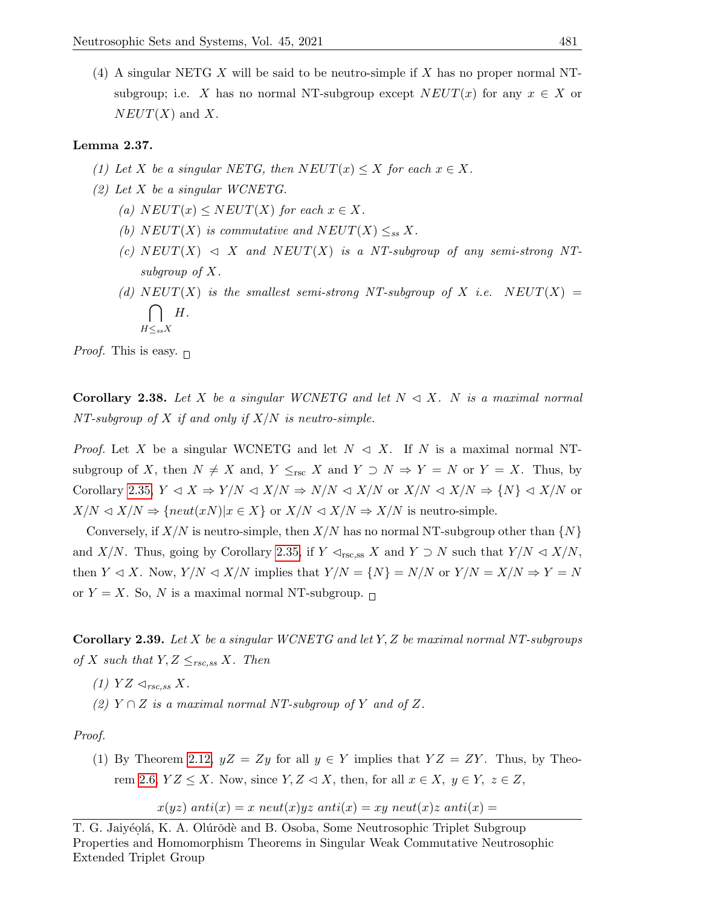(4) A singular NETG X will be said to be neutro-simple if X has no proper normal NTsubgroup; i.e. X has no normal NT-subgroup except  $NEUT(x)$  for any  $x \in X$  or  $NEUT(X)$  and X.

## Lemma 2.37.

- (1) Let X be a singular NETG, then  $NEUT(x) \leq X$  for each  $x \in X$ .
- (2) Let X be a singular WCNETG.
	- (a)  $NEUT(x) \leq NEUT(X)$  for each  $x \in X$ .
	- (b) NEUT(X) is commutative and NEUT(X)  $\leq_{ss} X$ .
	- (c) NEUT(X)  $\triangleleft$  X and NEUT(X) is a NT-subgroup of any semi-strong NTsubgroup of X.
	- (d)  $NEUT(X)$  is the smallest semi-strong NT-subgroup of X i.e.  $NEUT(X) =$  $\bigcap$  H.  $H\leq_{ss}X$

*Proof.* This is easy.  $\Box$ 

<span id="page-22-0"></span>**Corollary 2.38.** Let X be a singular WCNETG and let  $N \leq X$ . N is a maximal normal NT-subgroup of X if and only if  $X/N$  is neutro-simple.

*Proof.* Let X be a singular WCNETG and let  $N \triangleleft X$ . If N is a maximal normal NTsubgroup of X, then  $N \neq X$  and,  $Y \leq_{\text{rsc}} X$  and  $Y \supset N \Rightarrow Y = N$  or  $Y = X$ . Thus, by Corollary [2.35,](#page-21-0)  $Y \triangleleft X \Rightarrow Y/N \triangleleft X/N \Rightarrow N/N \triangleleft X/N$  or  $X/N \Rightarrow X/N \Rightarrow \{N\} \triangleleft X/N$  or  $X/N \triangleleft X/N \Rightarrow$  { $neut(xN)|x \in X$ } or  $X/N \triangleleft X/N \Rightarrow X/N$  is neutro-simple.

Conversely, if  $X/N$  is neutro-simple, then  $X/N$  has no normal NT-subgroup other than  $\{N\}$ and X/N. Thus, going by Corollary [2.35,](#page-21-0) if  $Y \triangleleft_{\text{rsc,ss}} X$  and  $Y \supset N$  such that  $Y/N \triangleleft X/N$ , then  $Y \triangleleft X$ . Now,  $Y/N \triangleleft X/N$  implies that  $Y/N = \{N\} = N/N$  or  $Y/N = X/N \Rightarrow Y = N$ or  $Y = X$ . So, N is a maximal normal NT-subgroup.  $\Box$ 

**Corollary 2.39.** Let X be a singular WCNETG and let Y, Z be maximal normal NT-subgroups of X such that  $Y, Z \leq_{rsc,ss} X$ . Then

- (1)  $YZ \triangleleft_{rsc,ss} X$ .
- (2)  $Y \cap Z$  is a maximal normal NT-subgroup of Y and of Z.

Proof.

(1) By Theorem [2.12,](#page-8-1)  $yZ = Zy$  for all  $y \in Y$  implies that  $YZ = ZY$ . Thus, by Theo-rem [2.6,](#page-7-0)  $YZ \leq X$ . Now, since  $Y, Z \lhd X$ , then, for all  $x \in X, y \in Y, z \in Z$ ,

 $x(yz)$  anti $(x) = x$  neut $(x)yz$  anti $(x) = xy$  neut $(x)z$  anti $(x) =$ 

T. G. Jaiyéolá, K. A. Olúrŏdè and B. Osoba, Some Neutrosophic Triplet Subgroup Properties and Homomorphism Theorems in Singular Weak Commutative Neutrosophic Extended Triplet Group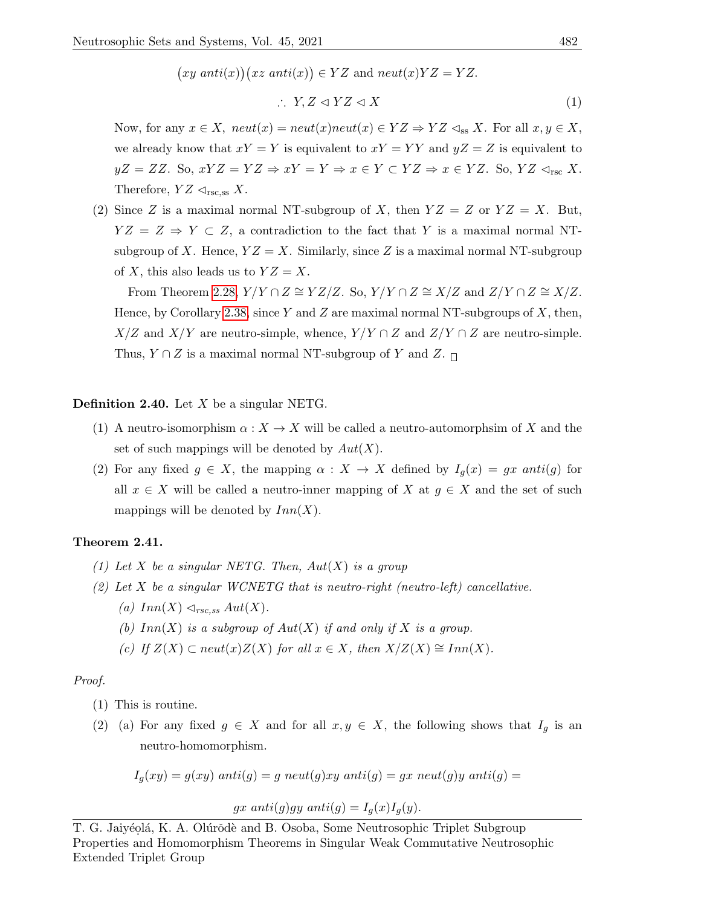$$
(xy \; anti(x)) (xz \; anti(x)) \in YZ \; \text{and} \; neut(x)YZ = YZ.
$$

$$
\therefore Y, Z \lhd YZ \lhd X \tag{1}
$$

Now, for any  $x \in X$ ,  $neut(x) = neut(x)neut(x) \in YZ \Rightarrow YZ \leq_{ss} X$ . For all  $x, y \in X$ , we already know that  $xY = Y$  is equivalent to  $xY = YY$  and  $yZ = Z$  is equivalent to  $yZ = ZZ$ . So,  $xYZ = YZ \Rightarrow xY = Y \Rightarrow x \in Y \subset YZ \Rightarrow x \in YZ$ . So,  $YZ \triangleleft_{\text{rsc}} X$ . Therefore,  $YZ \triangleleft_{\text{rsc},\text{ss}} X$ .

(2) Since Z is a maximal normal NT-subgroup of X, then  $YZ = Z$  or  $YZ = X$ . But,  $YZ = Z \Rightarrow Y \subset Z$ , a contradiction to the fact that Y is a maximal normal NTsubgroup of X. Hence,  $YZ = X$ . Similarly, since Z is a maximal normal NT-subgroup of X, this also leads us to  $YZ = X$ .

From Theorem [2.28,](#page-18-0)  $Y/Y \cap Z \cong YZ/Z$ . So,  $Y/Y \cap Z \cong X/Z$  and  $Z/Y \cap Z \cong X/Z$ . Hence, by Corollary [2.38,](#page-22-0) since Y and Z are maximal normal NT-subgroups of X, then,  $X/Z$  and  $X/Y$  are neutro-simple, whence,  $Y/Y \cap Z$  and  $Z/Y \cap Z$  are neutro-simple. Thus,  $Y \cap Z$  is a maximal normal NT-subgroup of Y and Z.  $\Box$ 

**Definition 2.40.** Let  $X$  be a singular NETG.

- (1) A neutro-isomorphism  $\alpha: X \to X$  will be called a neutro-automorphsim of X and the set of such mappings will be denoted by  $Aut(X)$ .
- (2) For any fixed  $g \in X$ , the mapping  $\alpha : X \to X$  defined by  $I_q(x) = gx$  anti(g) for all  $x \in X$  will be called a neutro-inner mapping of X at  $g \in X$  and the set of such mappings will be denoted by  $Inn(X)$ .

# Theorem 2.41.

- (1) Let X be a singular NETG. Then,  $Aut(X)$  is a group
- (2) Let X be a singular WCNETG that is neutro-right (neutro-left) cancellative. (a)  $Inn(X) \triangleleft_{rsc,ss} Aut(X)$ .
	- (b)  $Inn(X)$  is a subgroup of  $Aut(X)$  if and only if X is a group.
	- (c) If  $Z(X) \subset \text{neut}(x)Z(X)$  for all  $x \in X$ , then  $X/Z(X) \cong \text{Inn}(X)$ .

## Proof.

- (1) This is routine.
- (2) (a) For any fixed  $g \in X$  and for all  $x, y \in X$ , the following shows that  $I_g$  is an neutro-homomorphism.

$$
I_g(xy) = g(xy) \ anti(g) = g \ neutr(g)xy \ anti(g) = gx \ neutr(g)y \ anti(g) =
$$

$$
gx \; anti(g)gy \; anti(g) = I_g(x)I_g(y).
$$

T. G. Jaiyéolá, K. A. Olúrŏdè and B. Osoba, Some Neutrosophic Triplet Subgroup Properties and Homomorphism Theorems in Singular Weak Commutative Neutrosophic Extended Triplet Group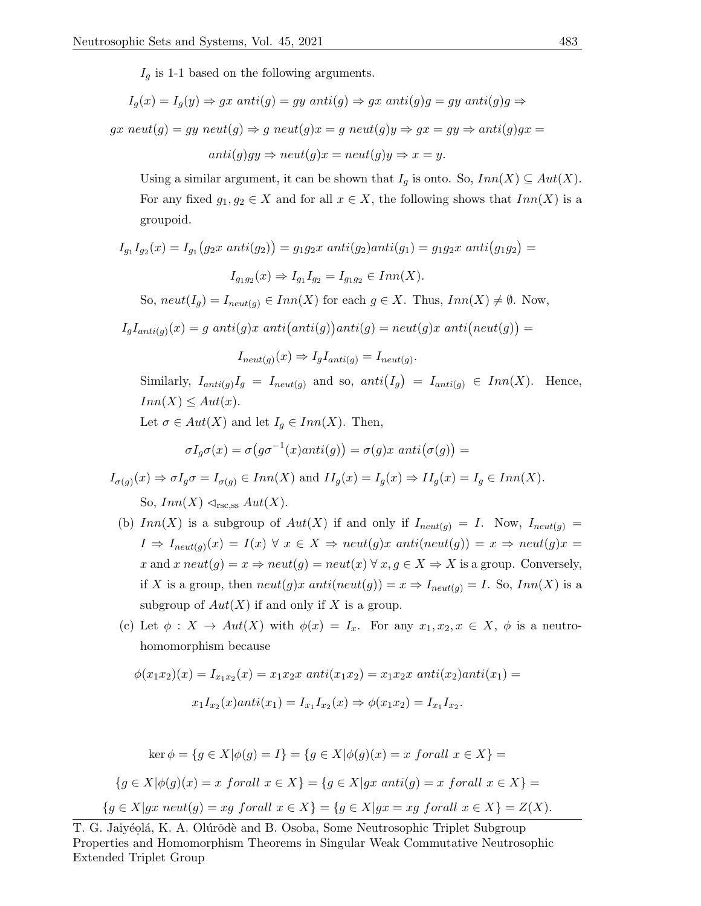$I_g$  is 1-1 based on the following arguments.

$$
I_g(x) = I_g(y) \Rightarrow gx \ anti(g) = gy \ anti(g) \Rightarrow gx \ anti(g)g = gy \ anti(g)g \Rightarrow
$$

 $gx \text{ } neut(q) = gy \text{ } neut(q) \Rightarrow q \text{ } neut(q)x = q \text{ } neut(q)y \Rightarrow qx = qy \Rightarrow anti(q)qx =$  $anti(a)ay \Rightarrow neut(a)x = neut(a)y \Rightarrow x = y.$ 

Using a similar argument, it can be shown that  $I_g$  is onto. So,  $Inn(X) \subseteq Aut(X)$ . For any fixed  $g_1, g_2 \in X$  and for all  $x \in X$ , the following shows that  $Inn(X)$  is a groupoid.

$$
I_{g_1}I_{g_2}(x) = I_{g_1}(g_2x \ anti(g_2)) = g_1g_2x \ anti(g_2)anti(g_1) = g_1g_2x \ anti(g_1g_2) =
$$
  

$$
I_{g_1g_2}(x) \Rightarrow I_{g_1}I_{g_2} = I_{g_1g_2} \in Inn(X).
$$

So,  $neut(I_q) = I_{neut(q)} \in Inn(X)$  for each  $g \in X$ . Thus,  $Inn(X) \neq \emptyset$ . Now,

 $I_gI_{anti(g)}(x) = g \ anti(g)x \ anti(anti(g))anti(g) = neut(g)x \ anti(neut(g)) =$ 

 $I_{neut(g)}(x) \Rightarrow I_g I_{anti(g)} = I_{neut(g)}.$ 

Similarly,  $I_{anti(g)}I_g = I_{neut(g)}$  and so,  $anti(I_g) = I_{anti(g)} \in Inn(X)$ . Hence,  $Inn(X) \leq Aut(x).$ 

Let  $\sigma \in Aut(X)$  and let  $I_g \in Inn(X)$ . Then,

$$
\sigma I_g \sigma(x) = \sigma(g\sigma^{-1}(x)anti(g)) = \sigma(g)x \ anti(\sigma(g)) =
$$

 $I_{\sigma(g)}(x) \Rightarrow \sigma I_g \sigma = I_{\sigma(g)} \in Inn(X)$  and  $II_g(x) = I_g(x) \Rightarrow II_g(x) = I_g \in Inn(X)$ . So,  $Inn(X) \triangleleft_{\text{rsc,ss}} Aut(X)$ .

- (b)  $Inn(X)$  is a subgroup of  $Aut(X)$  if and only if  $I_{neut(q)} = I$ . Now,  $I_{neut(q)} =$  $I \Rightarrow I_{neut(g)}(x) = I(x) \forall x \in X \Rightarrow neut(g)x \text{ }anti(newt(g)) = x \Rightarrow neut(g)x =$ x and x  $\text{neut}(g) = x \Rightarrow \text{neut}(g) = \text{neut}(x) \,\forall \, x, g \in X \Rightarrow X$  is a group. Conversely, if X is a group, then  $neut(g)x$  anti $(neut(g)) = x \Rightarrow I_{neut(g)} = I$ . So,  $Inn(X)$  is a subgroup of  $Aut(X)$  if and only if X is a group.
- (c) Let  $\phi: X \to Aut(X)$  with  $\phi(x) = I_x$ . For any  $x_1, x_2, x \in X$ ,  $\phi$  is a neutrohomomorphism because

$$
\phi(x_1x_2)(x) = I_{x_1x_2}(x) = x_1x_2x \text{ anti}(x_1x_2) = x_1x_2x \text{ anti}(x_2)\text{anti}(x_1) = x_1I_{x_2}(x)\text{anti}(x_1) = I_{x_1}I_{x_2}(x) \Rightarrow \phi(x_1x_2) = I_{x_1}I_{x_2}.
$$

$$
\ker \phi = \{ g \in X | \phi(g) = I \} = \{ g \in X | \phi(g)(x) = x \text{ for all } x \in X \} =
$$
  

$$
\{ g \in X | \phi(g)(x) = x \text{ for all } x \in X \} = \{ g \in X | gx \text{ anti}(g) = x \text{ for all } x \in X \} =
$$
  

$$
\{ g \in X | gx \text{ neut}(g) = xg \text{ for all } x \in X \} = \{ g \in X | gx = xg \text{ for all } x \in X \} = Z(X).
$$

T. G. Jaiyéolá, K. A. Olúrŏdè and B. Osoba, Some Neutrosophic Triplet Subgroup Properties and Homomorphism Theorems in Singular Weak Commutative Neutrosophic Extended Triplet Group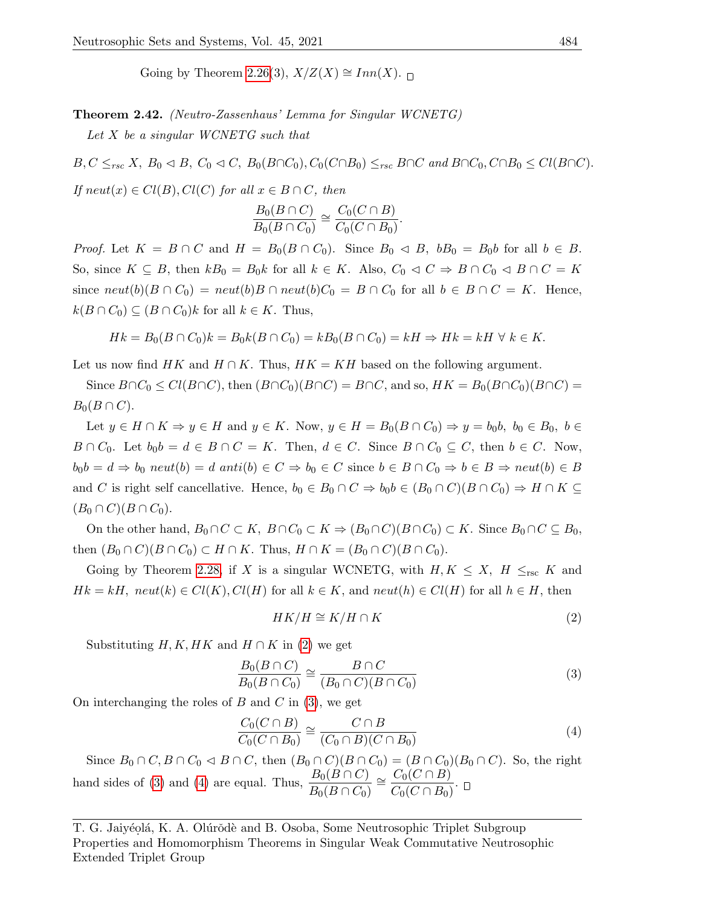Going by Theorem [2.26\(](#page-15-0)3),  $X/Z(X) \cong Inn(X)$ . <sub>□</sub>

Theorem 2.42. (Neutro-Zassenhaus' Lemma for Singular WCNETG)

Let X be a singular WCNETG such that

 $B, C \leq_{rsc} X$ ,  $B_0 \triangleleft B$ ,  $C_0 \triangleleft C$ ,  $B_0(B \cap C_0)$ ,  $C_0(C \cap B_0) \leq_{rsc} B \cap C$  and  $B \cap C_0$ ,  $C \cap B_0 \leq C l(B \cap C)$ .

If  $neut(x) \in Cl(B)$ ,  $Cl(C)$  for all  $x \in B \cap C$ , then

$$
\frac{B_0(B \cap C)}{B_0(B \cap C_0)} \cong \frac{C_0(C \cap B)}{C_0(C \cap B_0)}.
$$

*Proof.* Let  $K = B \cap C$  and  $H = B_0(B \cap C_0)$ . Since  $B_0 \triangleleft B$ ,  $bB_0 = B_0b$  for all  $b \in B$ . So, since  $K \subseteq B$ , then  $kB_0 = B_0k$  for all  $k \in K$ . Also,  $C_0 \lhd C \Rightarrow B \cap C_0 \lhd B \cap C = K$ since  $neut(b)(B \cap C_0) = neut(b)B \cap neut(b)C_0 = B \cap C_0$  for all  $b \in B \cap C = K$ . Hence,  $k(B \cap C_0) \subseteq (B \cap C_0)k$  for all  $k \in K$ . Thus,

$$
Hk = B_0(B \cap C_0)k = B_0k(B \cap C_0) = kB_0(B \cap C_0) = kH \Rightarrow Hk = kH \ \forall \ k \in K.
$$

Let us now find HK and  $H \cap K$ . Thus,  $HK = KH$  based on the following argument.

Since  $B \cap C_0 \leq Cl(B \cap C)$ , then  $(B \cap C_0)(B \cap C) = B \cap C$ , and so,  $HK = B_0(B \cap C_0)(B \cap C) =$  $B_0(B\cap C)$ .

Let  $y \in H \cap K \Rightarrow y \in H$  and  $y \in K$ . Now,  $y \in H = B_0(B \cap C_0) \Rightarrow y = b_0b, b_0 \in B_0, b \in$  $B \cap C_0$ . Let  $b_0b = d \in B \cap C = K$ . Then,  $d \in C$ . Since  $B \cap C_0 \subseteq C$ , then  $b \in C$ . Now,  $b_0b = d \Rightarrow b_0 \text{ neut}(b) = d \text{ anti}(b) \in C \Rightarrow b_0 \in C \text{ since } b \in B \cap C_0 \Rightarrow b \in B \Rightarrow \text{ neut}(b) \in B$ and C is right self cancellative. Hence,  $b_0 \in B_0 \cap C \Rightarrow b_0 b \in (B_0 \cap C)(B \cap C_0) \Rightarrow H \cap K \subseteq$  $(B_0 \cap C)(B \cap C_0).$ 

On the other hand,  $B_0 \cap C \subset K$ ,  $B \cap C_0 \subset K \Rightarrow (B_0 \cap C)(B \cap C_0) \subset K$ . Since  $B_0 \cap C \subseteq B_0$ , then  $(B_0 \cap C)(B \cap C_0) \subset H \cap K$ . Thus,  $H \cap K = (B_0 \cap C)(B \cap C_0)$ .

Going by Theorem [2.28,](#page-18-0) if X is a singular WCNETG, with  $H, K \leq X$ ,  $H \leq_{\text{rsc}} K$  and  $Hk = kH$ ,  $neut(k) \in Cl(K)$ ,  $Cl(H)$  for all  $k \in K$ , and  $neut(h) \in Cl(H)$  for all  $h \in H$ , then

<span id="page-25-0"></span>
$$
HK/H \cong K/H \cap K \tag{2}
$$

Substituting H, K, HK and  $H \cap K$  in [\(2\)](#page-25-0) we get

<span id="page-25-1"></span>
$$
\frac{B_0(B \cap C)}{B_0(B \cap C_0)} \cong \frac{B \cap C}{(B_0 \cap C)(B \cap C_0)}\tag{3}
$$

On interchanging the roles of  $B$  and  $C$  in  $(3)$ , we get

<span id="page-25-2"></span>
$$
\frac{C_0(C \cap B)}{C_0(C \cap B_0)} \cong \frac{C \cap B}{(C_0 \cap B)(C \cap B_0)}\tag{4}
$$

Since  $B_0 \cap C$ ,  $B \cap C_0 \triangleleft B \cap C$ , then  $(B_0 \cap C)(B \cap C_0) = (B \cap C_0)(B_0 \cap C)$ . So, the right hand sides of [\(3\)](#page-25-1) and [\(4\)](#page-25-2) are equal. Thus,  $\frac{B_0(B \cap C)}{B_0(B \cap C)}$  $\frac{B_0(B \cap C)}{B_0(B \cap C_0)} \cong \frac{C_0(C \cap B)}{C_0(C \cap B_0)}$  $\frac{C_0(C \cap B)}{C_0(C \cap B_0)}$ .

T. G. Jaiyéolá, K. A. Olúrŏdè and B. Osoba, Some Neutrosophic Triplet Subgroup Properties and Homomorphism Theorems in Singular Weak Commutative Neutrosophic Extended Triplet Group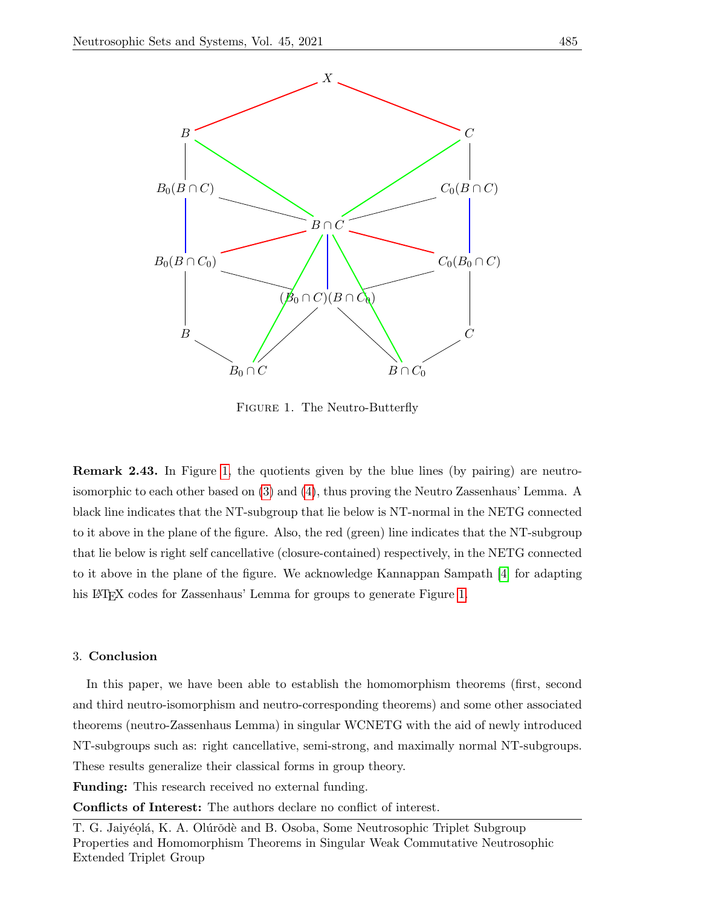<span id="page-26-0"></span>

Figure 1. The Neutro-Butterfly

**Remark 2.43.** In Figure [1,](#page-26-0) the quotients given by the blue lines (by pairing) are neutroisomorphic to each other based on [\(3\)](#page-25-1) and [\(4\)](#page-25-2), thus proving the Neutro Zassenhaus' Lemma. A black line indicates that the NT-subgroup that lie below is NT-normal in the NETG connected to it above in the plane of the figure. Also, the red (green) line indicates that the NT-subgroup that lie below is right self cancellative (closure-contained) respectively, in the NETG connected to it above in the plane of the figure. We acknowledge Kannappan Sampath [\[4\]](#page-27-15) for adapting his LAT<sub>E</sub>X codes for Zassenhaus' Lemma for groups to generate Figure [1.](#page-26-0)

## 3. Conclusion

In this paper, we have been able to establish the homomorphism theorems (first, second and third neutro-isomorphism and neutro-corresponding theorems) and some other associated theorems (neutro-Zassenhaus Lemma) in singular WCNETG with the aid of newly introduced NT-subgroups such as: right cancellative, semi-strong, and maximally normal NT-subgroups. These results generalize their classical forms in group theory.

Funding: This research received no external funding.

Conflicts of Interest: The authors declare no conflict of interest.

T. G. Jaiyéolá, K. A. Olúrŏdè and B. Osoba, Some Neutrosophic Triplet Subgroup Properties and Homomorphism Theorems in Singular Weak Commutative Neutrosophic Extended Triplet Group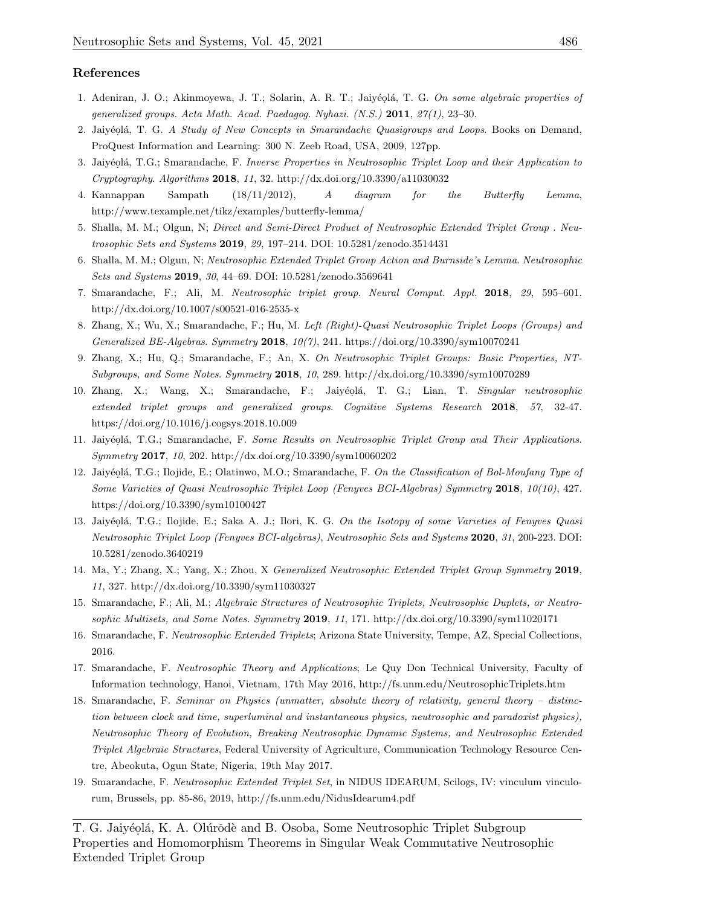#### References

- <span id="page-27-0"></span>1. Adeniran, J. O.; Akinmoyewa, J. T.; Solarin, A. R. T.; Jaiyéolá, T. G. *On some algebraic properties of* generalized groups. Acta Math. Acad. Paedagog. Nyhazi. (N.S.) 2011, 27(1), 23–30.
- 2. Jaiyéolá, T. G. *A Study of New Concepts in Smarandache Quasigroups and Loops*. Books on Demand, ProQuest Information and Learning: 300 N. Zeeb Road, USA, 2009, 127pp.
- <span id="page-27-4"></span>3. Jaiyéolá, T.G.; Smarandache, F. Inverse Properties in Neutrosophic Triplet Loop and their Application to Cryptography. Algorithms 2018, 11, 32. http://dx.doi.org/10.3390/a11030032
- <span id="page-27-15"></span>4. Kannappan Sampath (18/11/2012), A diagram for the Butterfly Lemma, http://www.texample.net/tikz/examples/butterfly-lemma/
- <span id="page-27-12"></span>5. Shalla, M. M.; Olgun, N; Direct and Semi-Direct Product of Neutrosophic Extended Triplet Group . Neutrosophic Sets and Systems 2019, 29, 197–214. DOI: 10.5281/zenodo.3514431
- <span id="page-27-13"></span>6. Shalla, M. M.; Olgun, N; Neutrosophic Extended Triplet Group Action and Burnside's Lemma. Neutrosophic Sets and Systems 2019, 30, 44–69. DOI: 10.5281/zenodo.3569641
- <span id="page-27-1"></span>7. Smarandache, F.; Ali, M. Neutrosophic triplet group. Neural Comput. Appl. 2018, 29, 595–601. http://dx.doi.org/10.1007/s00521-016-2535-x
- <span id="page-27-5"></span>8. Zhang, X.; Wu, X.; Smarandache, F.; Hu, M. Left (Right)-Quasi Neutrosophic Triplet Loops (Groups) and Generalized BE-Algebras. Symmetry 2018, 10(7), 241. https://doi.org/10.3390/sym10070241
- <span id="page-27-14"></span>9. Zhang, X.; Hu, Q.; Smarandache, F.; An, X. On Neutrosophic Triplet Groups: Basic Properties, NT-Subgroups, and Some Notes. Symmetry 2018, 10, 289. http://dx.doi.org/10.3390/sym10070289
- <span id="page-27-3"></span>10. Zhang, X.; Wang, X.; Smarandache, F.; Jaiyéolá, T. G.; Lian, T. *Singular neutrosophic* extended triplet groups and generalized groups. Cognitive Systems Research 2018, 57, 32-47. https://doi.org/10.1016/j.cogsys.2018.10.009
- <span id="page-27-2"></span>11. Jaiyéolá, T.G.; Smarandache, F. Some Results on Neutrosophic Triplet Group and Their Applications. Symmetry 2017, 10, 202. http://dx.doi.org/10.3390/sym10060202
- <span id="page-27-6"></span>12. Jaiyéolá, T.G.; Ilojide, E.; Olatinwo, M.O.; Smarandache, F. *On the Classification of Bol-Moufang Type of* Some Varieties of Quasi Neutrosophic Triplet Loop (Fenyves BCI-Algebras) Symmetry 2018, 10(10), 427. https://doi.org/10.3390/sym10100427
- <span id="page-27-7"></span>13. Jaiyéolá, T.G.; Ilojide, E.; Saka A. J.; Ilori, K. G. *On the Isotopy of some Varieties of Fenyves Quasi* Neutrosophic Triplet Loop (Fenyves BCI-algebras), Neutrosophic Sets and Systems 2020, 31, 200-223. DOI: 10.5281/zenodo.3640219
- <span id="page-27-8"></span>14. Ma, Y.; Zhang, X.; Yang, X.; Zhou, X Generalized Neutrosophic Extended Triplet Group Symmetry 2019, 11, 327. http://dx.doi.org/10.3390/sym11030327
- <span id="page-27-9"></span>15. Smarandache, F.; Ali, M.; Algebraic Structures of Neutrosophic Triplets, Neutrosophic Duplets, or Neutrosophic Multisets, and Some Notes. Symmetry 2019, 11, 171. http://dx.doi.org/10.3390/sym11020171
- <span id="page-27-10"></span>16. Smarandache, F. Neutrosophic Extended Triplets; Arizona State University, Tempe, AZ, Special Collections, 2016.
- 17. Smarandache, F. Neutrosophic Theory and Applications; Le Quy Don Technical University, Faculty of Information technology, Hanoi, Vietnam, 17th May 2016, http://fs.unm.edu/NeutrosophicTriplets.htm
- 18. Smarandache, F. Seminar on Physics (unmatter, absolute theory of relativity, general theory distinction between clock and time, superluminal and instantaneous physics, neutrosophic and paradoxist physics), Neutrosophic Theory of Evolution, Breaking Neutrosophic Dynamic Systems, and Neutrosophic Extended Triplet Algebraic Structures, Federal University of Agriculture, Communication Technology Resource Centre, Abeokuta, Ogun State, Nigeria, 19th May 2017.
- <span id="page-27-11"></span>19. Smarandache, F. Neutrosophic Extended Triplet Set, in NIDUS IDEARUM, Scilogs, IV: vinculum vinculorum, Brussels, pp. 85-86, 2019, http://fs.unm.edu/NidusIdearum4.pdf

T. G. Jaiyéolá, K. A. Olúrŏdè and B. Osoba, Some Neutrosophic Triplet Subgroup Properties and Homomorphism Theorems in Singular Weak Commutative Neutrosophic Extended Triplet Group